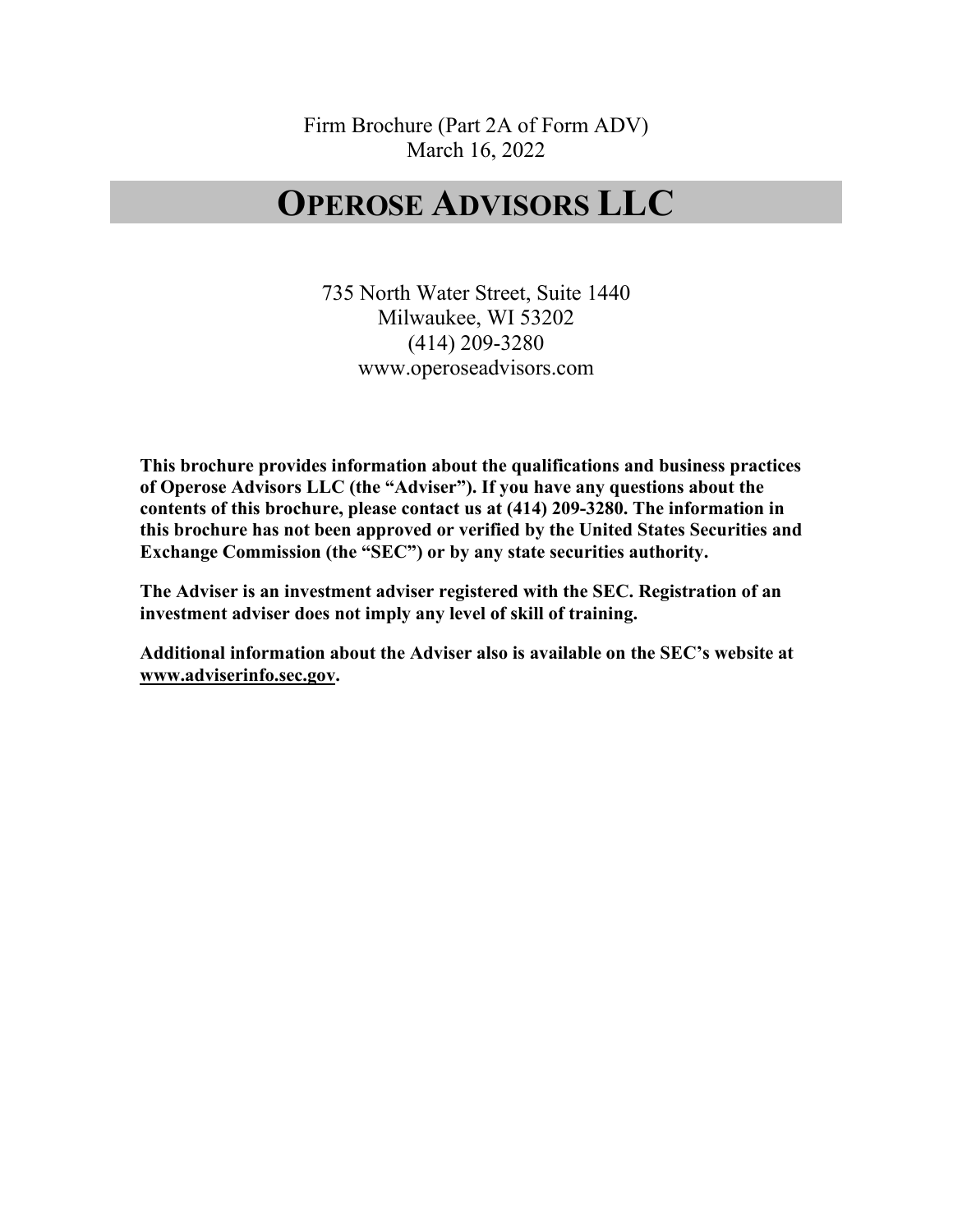Firm Brochure (Part 2A of Form ADV) March 16, 2022

## **OPEROSE ADVISORS LLC**

735 North Water Street, Suite 1440 Milwaukee, WI 53202 (414) 209-3280 www.operoseadvisors.com

**This brochure provides information about the qualifications and business practices of Operose Advisors LLC (the "Adviser"). If you have any questions about the contents of this brochure, please contact us at (414) 209-3280. The information in this brochure has not been approved or verified by the United States Securities and Exchange Commission (the "SEC") or by any state securities authority.**

**The Adviser is an investment adviser registered with the SEC. Registration of an investment adviser does not imply any level of skill of training.** 

**Additional information about the Adviser also is available on the SEC's website at www.adviserinfo.sec.gov.**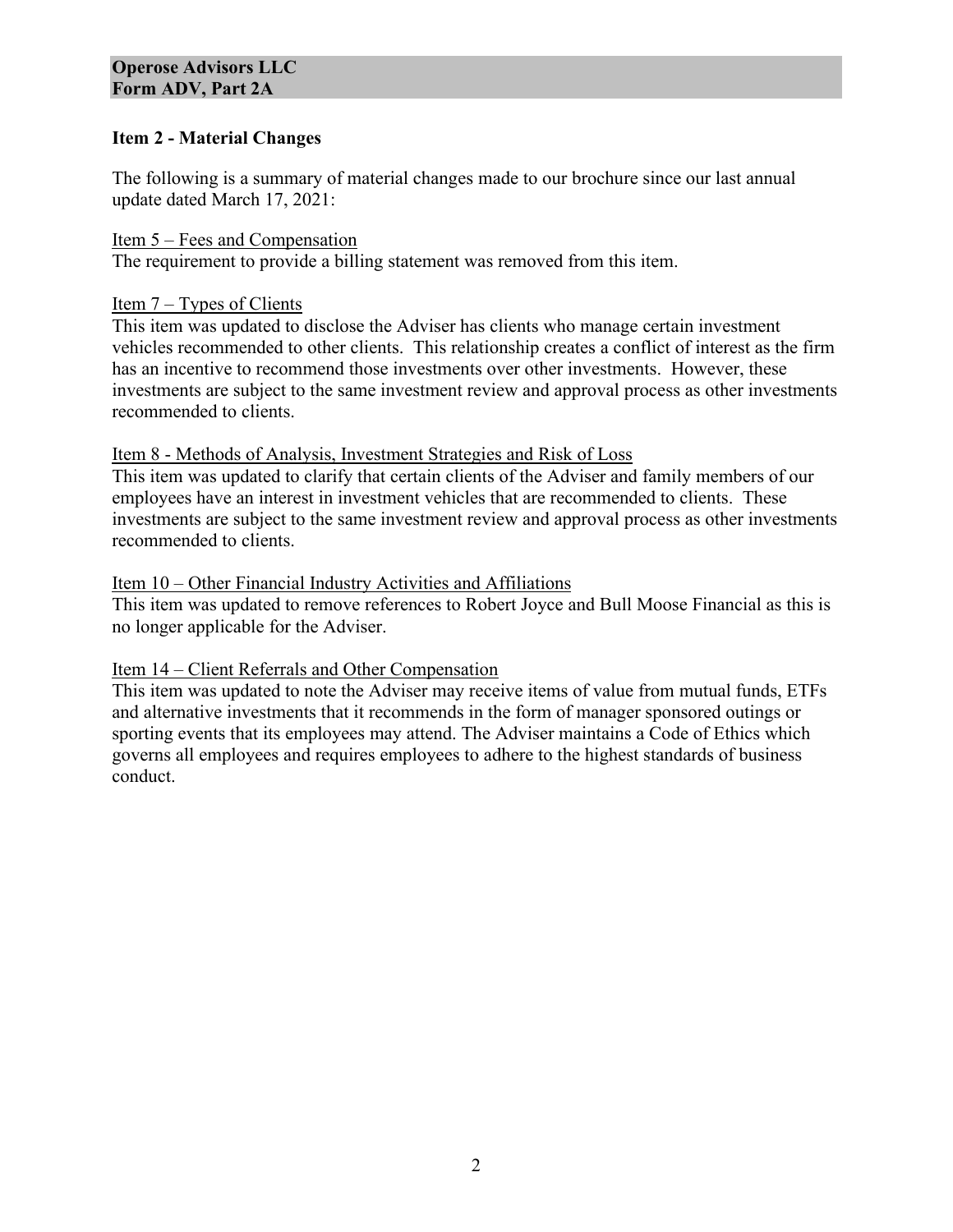## **Item 2 - Material Changes**

The following is a summary of material changes made to our brochure since our last annual update dated March 17, 2021:

Item 5 – Fees and Compensation The requirement to provide a billing statement was removed from this item.

## Item 7 – Types of Clients

This item was updated to disclose the Adviser has clients who manage certain investment vehicles recommended to other clients. This relationship creates a conflict of interest as the firm has an incentive to recommend those investments over other investments. However, these investments are subject to the same investment review and approval process as other investments recommended to clients.

#### Item 8 - Methods of Analysis, Investment Strategies and Risk of Loss

This item was updated to clarify that certain clients of the Adviser and family members of our employees have an interest in investment vehicles that are recommended to clients. These investments are subject to the same investment review and approval process as other investments recommended to clients.

#### Item 10 – Other Financial Industry Activities and Affiliations

This item was updated to remove references to Robert Joyce and Bull Moose Financial as this is no longer applicable for the Adviser.

## Item 14 – Client Referrals and Other Compensation

This item was updated to note the Adviser may receive items of value from mutual funds, ETFs and alternative investments that it recommends in the form of manager sponsored outings or sporting events that its employees may attend. The Adviser maintains a Code of Ethics which governs all employees and requires employees to adhere to the highest standards of business conduct.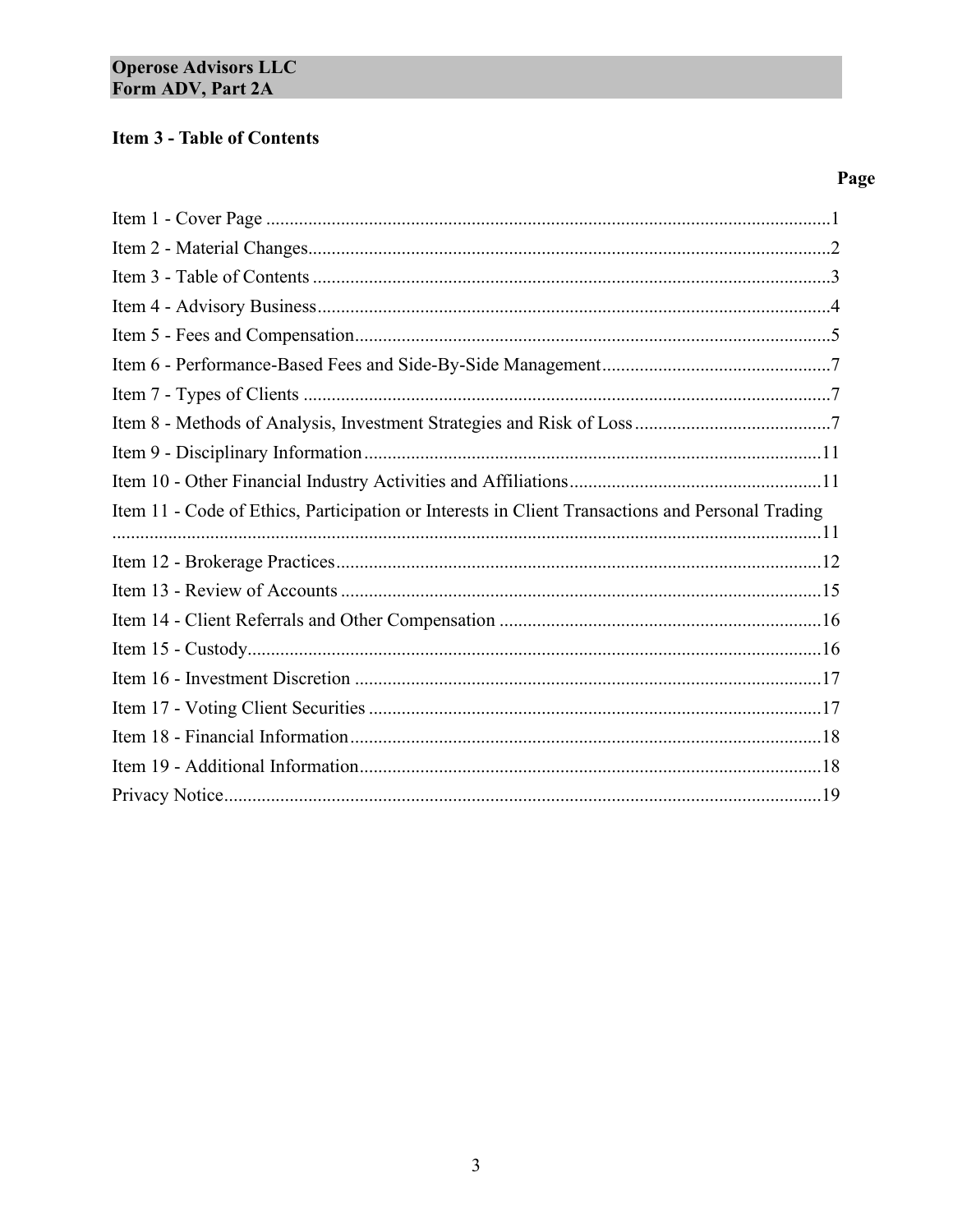## **Item 3 - Table of Contents**

## Page

| Item 11 - Code of Ethics, Participation or Interests in Client Transactions and Personal Trading |
|--------------------------------------------------------------------------------------------------|
|                                                                                                  |
|                                                                                                  |
|                                                                                                  |
|                                                                                                  |
|                                                                                                  |
|                                                                                                  |
|                                                                                                  |
|                                                                                                  |
|                                                                                                  |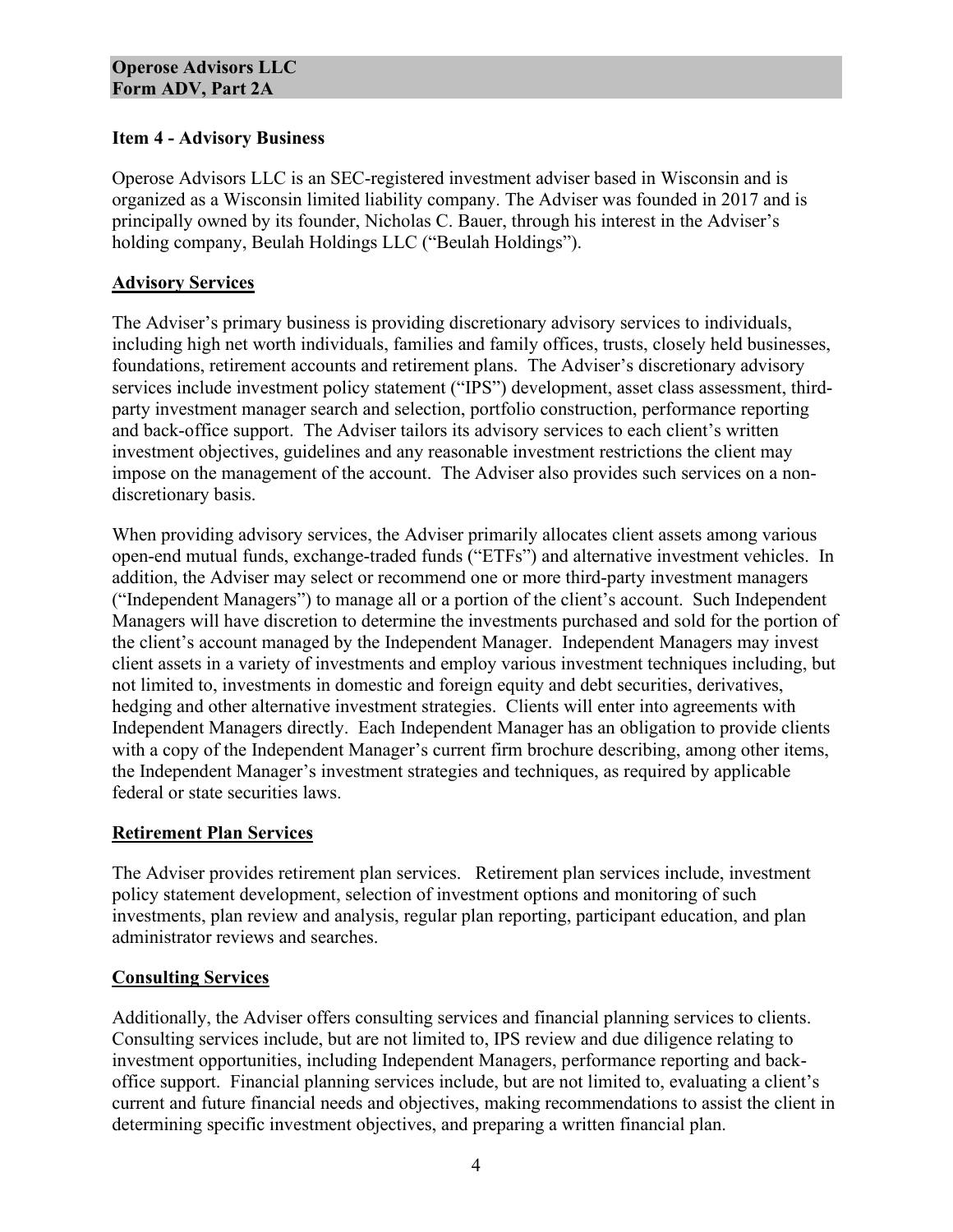## **Item 4 - Advisory Business**

Operose Advisors LLC is an SEC-registered investment adviser based in Wisconsin and is organized as a Wisconsin limited liability company. The Adviser was founded in 2017 and is principally owned by its founder, Nicholas C. Bauer, through his interest in the Adviser's holding company, Beulah Holdings LLC ("Beulah Holdings").

## **Advisory Services**

The Adviser's primary business is providing discretionary advisory services to individuals, including high net worth individuals, families and family offices, trusts, closely held businesses, foundations, retirement accounts and retirement plans. The Adviser's discretionary advisory services include investment policy statement ("IPS") development, asset class assessment, thirdparty investment manager search and selection, portfolio construction, performance reporting and back-office support. The Adviser tailors its advisory services to each client's written investment objectives, guidelines and any reasonable investment restrictions the client may impose on the management of the account. The Adviser also provides such services on a nondiscretionary basis.

When providing advisory services, the Adviser primarily allocates client assets among various open-end mutual funds, exchange-traded funds ("ETFs") and alternative investment vehicles. In addition, the Adviser may select or recommend one or more third-party investment managers ("Independent Managers") to manage all or a portion of the client's account. Such Independent Managers will have discretion to determine the investments purchased and sold for the portion of the client's account managed by the Independent Manager. Independent Managers may invest client assets in a variety of investments and employ various investment techniques including, but not limited to, investments in domestic and foreign equity and debt securities, derivatives, hedging and other alternative investment strategies. Clients will enter into agreements with Independent Managers directly. Each Independent Manager has an obligation to provide clients with a copy of the Independent Manager's current firm brochure describing, among other items, the Independent Manager's investment strategies and techniques, as required by applicable federal or state securities laws.

## **Retirement Plan Services**

The Adviser provides retirement plan services. Retirement plan services include, investment policy statement development, selection of investment options and monitoring of such investments, plan review and analysis, regular plan reporting, participant education, and plan administrator reviews and searches.

## **Consulting Services**

Additionally, the Adviser offers consulting services and financial planning services to clients. Consulting services include, but are not limited to, IPS review and due diligence relating to investment opportunities, including Independent Managers, performance reporting and backoffice support. Financial planning services include, but are not limited to, evaluating a client's current and future financial needs and objectives, making recommendations to assist the client in determining specific investment objectives, and preparing a written financial plan.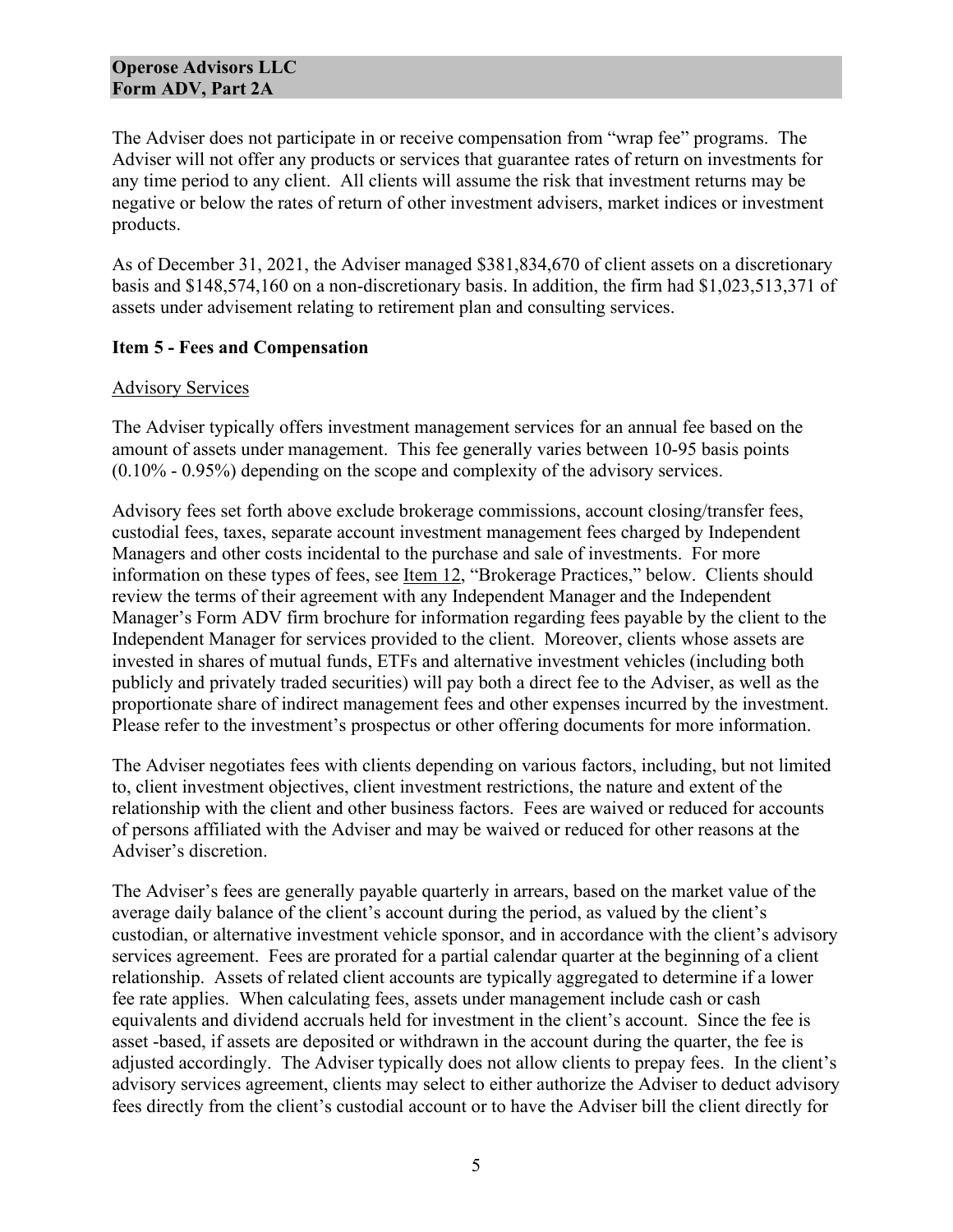The Adviser does not participate in or receive compensation from "wrap fee" programs. The Adviser will not offer any products or services that guarantee rates of return on investments for any time period to any client. All clients will assume the risk that investment returns may be negative or below the rates of return of other investment advisers, market indices or investment products.

As of December 31, 2021, the Adviser managed \$381,834,670 of client assets on a discretionary basis and \$148,574,160 on a non-discretionary basis. In addition, the firm had \$1,023,513,371 of assets under advisement relating to retirement plan and consulting services.

#### **Item 5 - Fees and Compensation**

#### Advisory Services

The Adviser typically offers investment management services for an annual fee based on the amount of assets under management. This fee generally varies between 10-95 basis points (0.10% - 0.95%) depending on the scope and complexity of the advisory services.

Advisory fees set forth above exclude brokerage commissions, account closing/transfer fees, custodial fees, taxes, separate account investment management fees charged by Independent Managers and other costs incidental to the purchase and sale of investments. For more information on these types of fees, see <u>Item 12</u>, "Brokerage Practices," below. Clients should review the terms of their agreement with any Independent Manager and the Independent Manager's Form ADV firm brochure for information regarding fees payable by the client to the Independent Manager for services provided to the client. Moreover, clients whose assets are invested in shares of mutual funds, ETFs and alternative investment vehicles (including both publicly and privately traded securities) will pay both a direct fee to the Adviser, as well as the proportionate share of indirect management fees and other expenses incurred by the investment. Please refer to the investment's prospectus or other offering documents for more information.

The Adviser negotiates fees with clients depending on various factors, including, but not limited to, client investment objectives, client investment restrictions, the nature and extent of the relationship with the client and other business factors. Fees are waived or reduced for accounts of persons affiliated with the Adviser and may be waived or reduced for other reasons at the Adviser's discretion.

The Adviser's fees are generally payable quarterly in arrears, based on the market value of the average daily balance of the client's account during the period, as valued by the client's custodian, or alternative investment vehicle sponsor, and in accordance with the client's advisory services agreement. Fees are prorated for a partial calendar quarter at the beginning of a client relationship. Assets of related client accounts are typically aggregated to determine if a lower fee rate applies. When calculating fees, assets under management include cash or cash equivalents and dividend accruals held for investment in the client's account. Since the fee is asset -based, if assets are deposited or withdrawn in the account during the quarter, the fee is adjusted accordingly. The Adviser typically does not allow clients to prepay fees. In the client's advisory services agreement, clients may select to either authorize the Adviser to deduct advisory fees directly from the client's custodial account or to have the Adviser bill the client directly for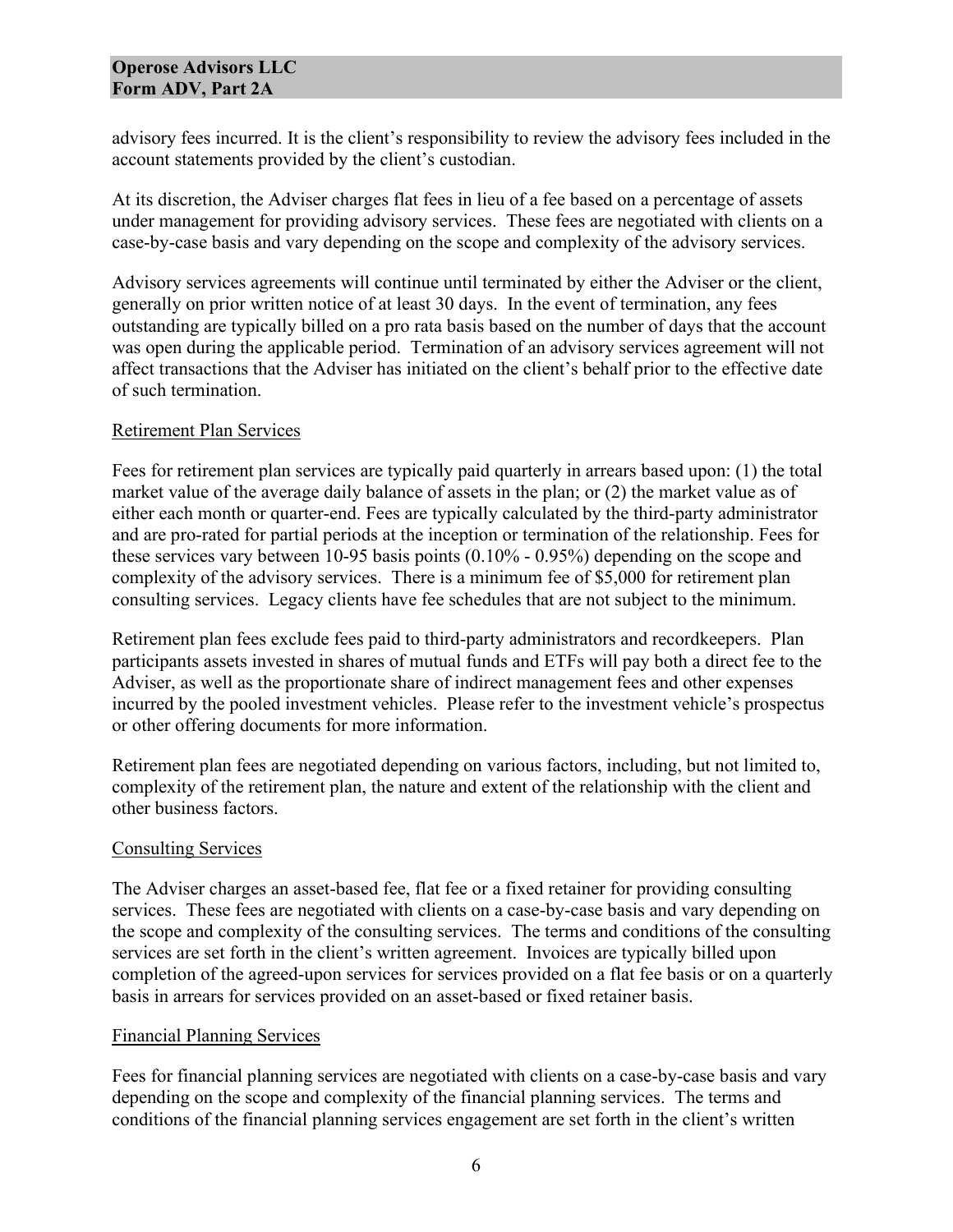advisory fees incurred. It is the client's responsibility to review the advisory fees included in the account statements provided by the client's custodian.

At its discretion, the Adviser charges flat fees in lieu of a fee based on a percentage of assets under management for providing advisory services. These fees are negotiated with clients on a case-by-case basis and vary depending on the scope and complexity of the advisory services.

Advisory services agreements will continue until terminated by either the Adviser or the client, generally on prior written notice of at least 30 days. In the event of termination, any fees outstanding are typically billed on a pro rata basis based on the number of days that the account was open during the applicable period. Termination of an advisory services agreement will not affect transactions that the Adviser has initiated on the client's behalf prior to the effective date of such termination.

#### Retirement Plan Services

Fees for retirement plan services are typically paid quarterly in arrears based upon: (1) the total market value of the average daily balance of assets in the plan; or (2) the market value as of either each month or quarter-end. Fees are typically calculated by the third-party administrator and are pro-rated for partial periods at the inception or termination of the relationship. Fees for these services vary between 10-95 basis points (0.10% - 0.95%) depending on the scope and complexity of the advisory services. There is a minimum fee of \$5,000 for retirement plan consulting services. Legacy clients have fee schedules that are not subject to the minimum.

Retirement plan fees exclude fees paid to third-party administrators and recordkeepers. Plan participants assets invested in shares of mutual funds and ETFs will pay both a direct fee to the Adviser, as well as the proportionate share of indirect management fees and other expenses incurred by the pooled investment vehicles. Please refer to the investment vehicle's prospectus or other offering documents for more information.

Retirement plan fees are negotiated depending on various factors, including, but not limited to, complexity of the retirement plan, the nature and extent of the relationship with the client and other business factors.

## Consulting Services

The Adviser charges an asset-based fee, flat fee or a fixed retainer for providing consulting services. These fees are negotiated with clients on a case-by-case basis and vary depending on the scope and complexity of the consulting services. The terms and conditions of the consulting services are set forth in the client's written agreement. Invoices are typically billed upon completion of the agreed-upon services for services provided on a flat fee basis or on a quarterly basis in arrears for services provided on an asset-based or fixed retainer basis.

#### Financial Planning Services

Fees for financial planning services are negotiated with clients on a case-by-case basis and vary depending on the scope and complexity of the financial planning services. The terms and conditions of the financial planning services engagement are set forth in the client's written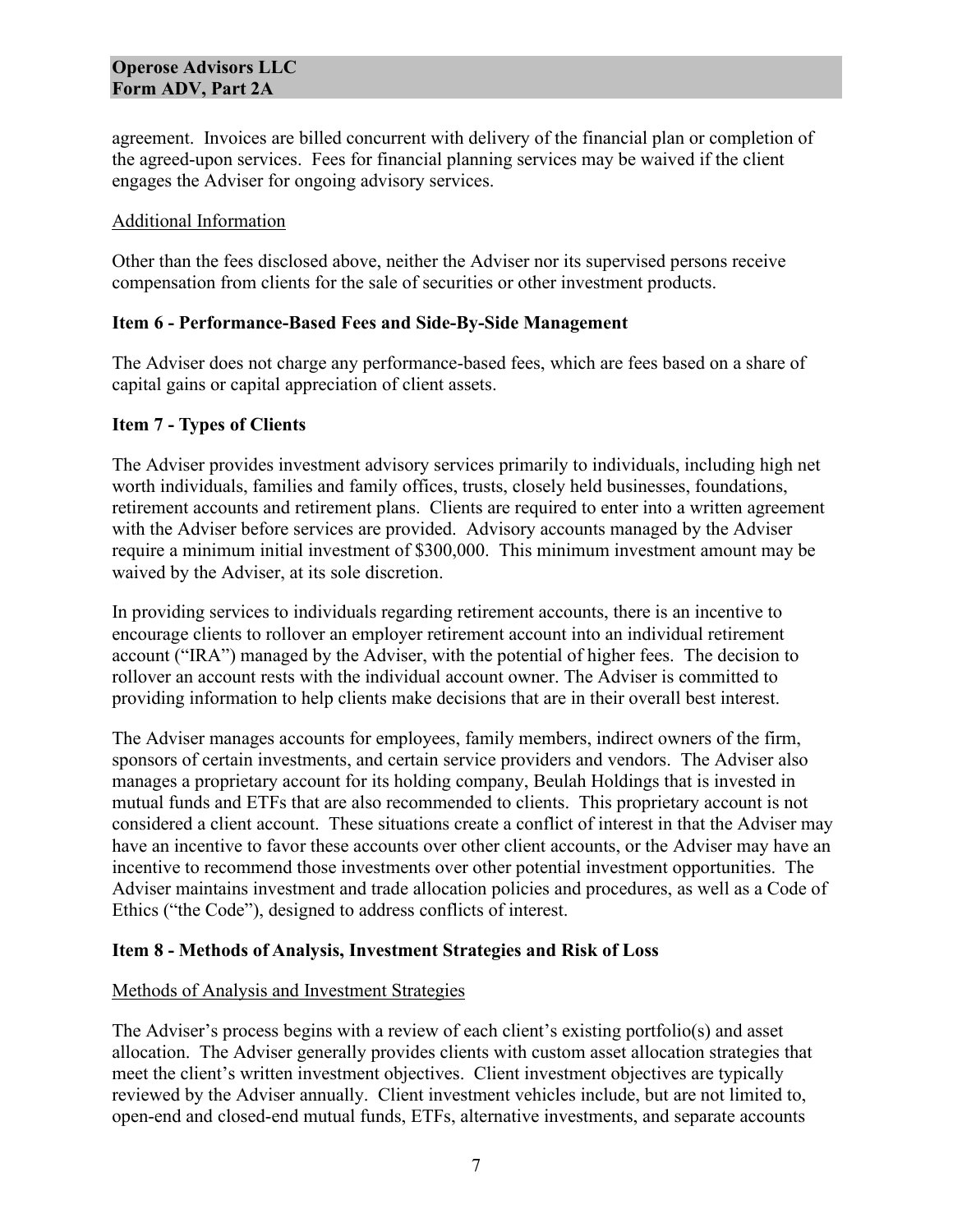agreement. Invoices are billed concurrent with delivery of the financial plan or completion of the agreed-upon services. Fees for financial planning services may be waived if the client engages the Adviser for ongoing advisory services.

#### Additional Information

Other than the fees disclosed above, neither the Adviser nor its supervised persons receive compensation from clients for the sale of securities or other investment products.

#### **Item 6 - Performance-Based Fees and Side-By-Side Management**

The Adviser does not charge any performance-based fees, which are fees based on a share of capital gains or capital appreciation of client assets.

## **Item 7 - Types of Clients**

The Adviser provides investment advisory services primarily to individuals, including high net worth individuals, families and family offices, trusts, closely held businesses, foundations, retirement accounts and retirement plans. Clients are required to enter into a written agreement with the Adviser before services are provided. Advisory accounts managed by the Adviser require a minimum initial investment of \$300,000. This minimum investment amount may be waived by the Adviser, at its sole discretion.

In providing services to individuals regarding retirement accounts, there is an incentive to encourage clients to rollover an employer retirement account into an individual retirement account ("IRA") managed by the Adviser, with the potential of higher fees. The decision to rollover an account rests with the individual account owner. The Adviser is committed to providing information to help clients make decisions that are in their overall best interest.

The Adviser manages accounts for employees, family members, indirect owners of the firm, sponsors of certain investments, and certain service providers and vendors. The Adviser also manages a proprietary account for its holding company, Beulah Holdings that is invested in mutual funds and ETFs that are also recommended to clients. This proprietary account is not considered a client account. These situations create a conflict of interest in that the Adviser may have an incentive to favor these accounts over other client accounts, or the Adviser may have an incentive to recommend those investments over other potential investment opportunities. The Adviser maintains investment and trade allocation policies and procedures, as well as a Code of Ethics ("the Code"), designed to address conflicts of interest.

## **Item 8 - Methods of Analysis, Investment Strategies and Risk of Loss**

#### Methods of Analysis and Investment Strategies

The Adviser's process begins with a review of each client's existing portfolio(s) and asset allocation. The Adviser generally provides clients with custom asset allocation strategies that meet the client's written investment objectives. Client investment objectives are typically reviewed by the Adviser annually. Client investment vehicles include, but are not limited to, open-end and closed-end mutual funds, ETFs, alternative investments, and separate accounts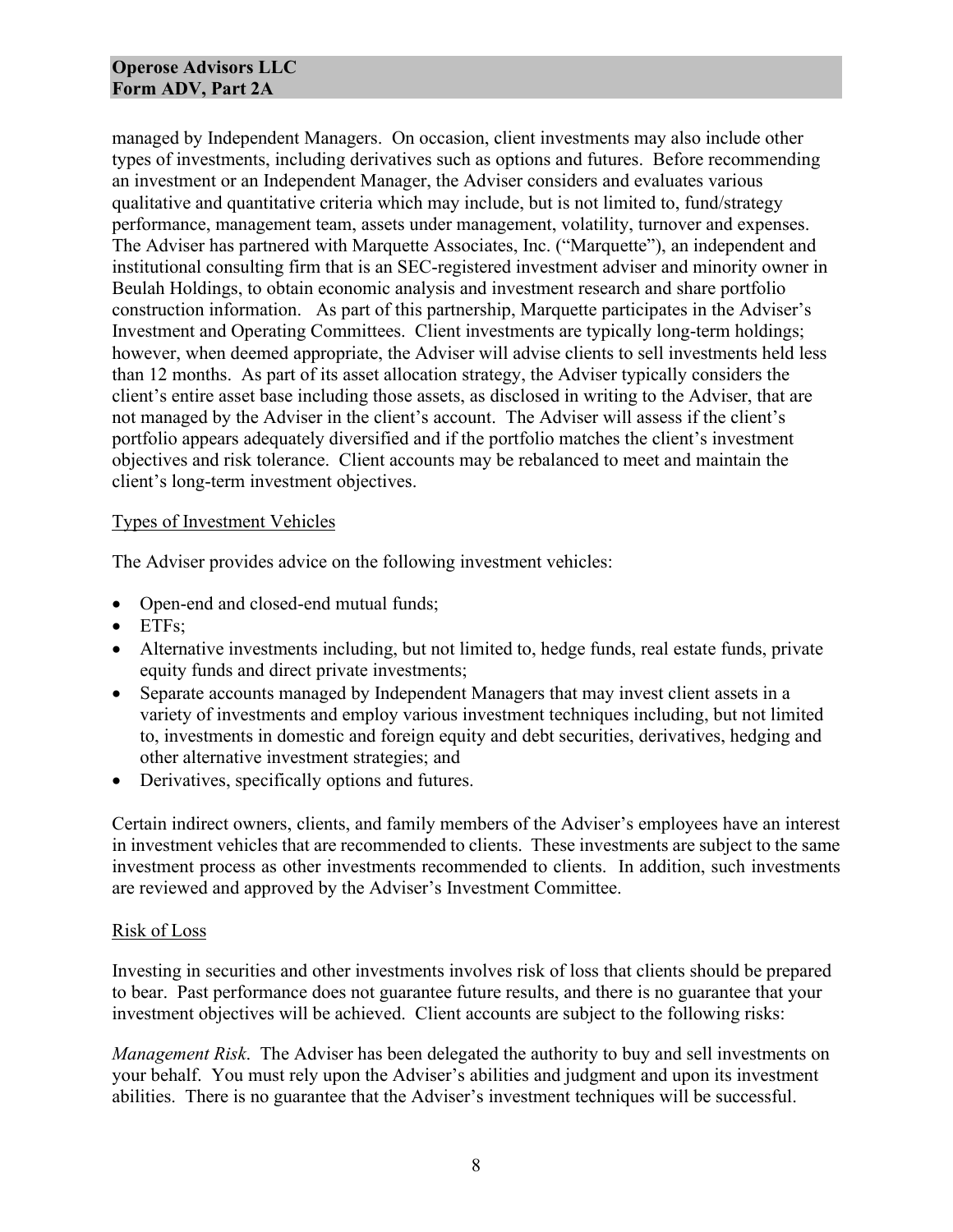managed by Independent Managers. On occasion, client investments may also include other types of investments, including derivatives such as options and futures. Before recommending an investment or an Independent Manager, the Adviser considers and evaluates various qualitative and quantitative criteria which may include, but is not limited to, fund/strategy performance, management team, assets under management, volatility, turnover and expenses. The Adviser has partnered with Marquette Associates, Inc. ("Marquette"), an independent and institutional consulting firm that is an SEC-registered investment adviser and minority owner in Beulah Holdings, to obtain economic analysis and investment research and share portfolio construction information. As part of this partnership, Marquette participates in the Adviser's Investment and Operating Committees. Client investments are typically long-term holdings; however, when deemed appropriate, the Adviser will advise clients to sell investments held less than 12 months. As part of its asset allocation strategy, the Adviser typically considers the client's entire asset base including those assets, as disclosed in writing to the Adviser, that are not managed by the Adviser in the client's account. The Adviser will assess if the client's portfolio appears adequately diversified and if the portfolio matches the client's investment objectives and risk tolerance. Client accounts may be rebalanced to meet and maintain the client's long-term investment objectives.

#### Types of Investment Vehicles

The Adviser provides advice on the following investment vehicles:

- Open-end and closed-end mutual funds;
- ETFs;
- Alternative investments including, but not limited to, hedge funds, real estate funds, private equity funds and direct private investments;
- Separate accounts managed by Independent Managers that may invest client assets in a variety of investments and employ various investment techniques including, but not limited to, investments in domestic and foreign equity and debt securities, derivatives, hedging and other alternative investment strategies; and
- Derivatives, specifically options and futures.

Certain indirect owners, clients, and family members of the Adviser's employees have an interest in investment vehicles that are recommended to clients. These investments are subject to the same investment process as other investments recommended to clients. In addition, such investments are reviewed and approved by the Adviser's Investment Committee.

#### Risk of Loss

Investing in securities and other investments involves risk of loss that clients should be prepared to bear. Past performance does not guarantee future results, and there is no guarantee that your investment objectives will be achieved. Client accounts are subject to the following risks:

*Management Risk*. The Adviser has been delegated the authority to buy and sell investments on your behalf. You must rely upon the Adviser's abilities and judgment and upon its investment abilities. There is no guarantee that the Adviser's investment techniques will be successful.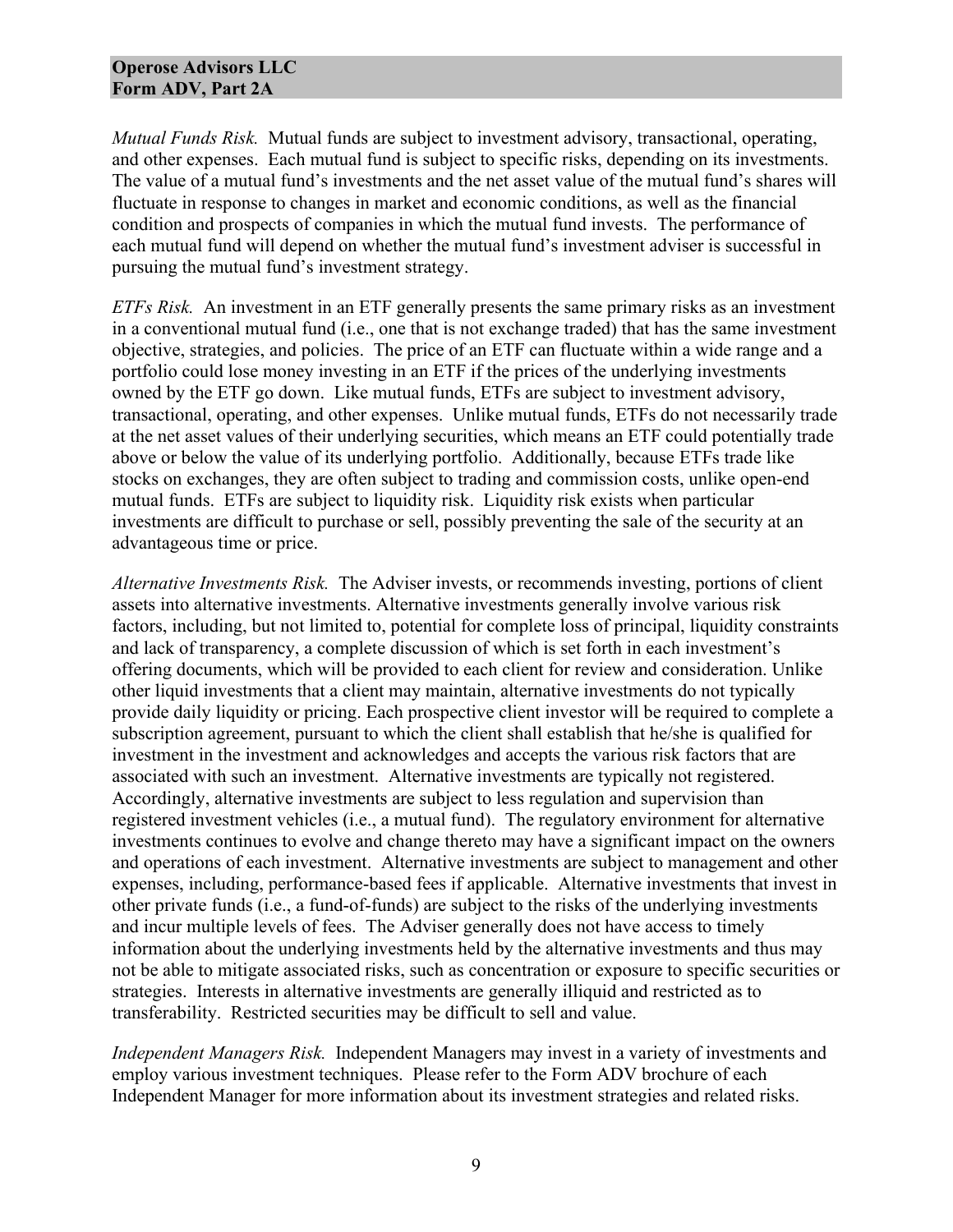*Mutual Funds Risk.* Mutual funds are subject to investment advisory, transactional, operating, and other expenses. Each mutual fund is subject to specific risks, depending on its investments. The value of a mutual fund's investments and the net asset value of the mutual fund's shares will fluctuate in response to changes in market and economic conditions, as well as the financial condition and prospects of companies in which the mutual fund invests. The performance of each mutual fund will depend on whether the mutual fund's investment adviser is successful in pursuing the mutual fund's investment strategy.

*ETFs Risk.* An investment in an ETF generally presents the same primary risks as an investment in a conventional mutual fund (i.e., one that is not exchange traded) that has the same investment objective, strategies, and policies. The price of an ETF can fluctuate within a wide range and a portfolio could lose money investing in an ETF if the prices of the underlying investments owned by the ETF go down. Like mutual funds, ETFs are subject to investment advisory, transactional, operating, and other expenses. Unlike mutual funds, ETFs do not necessarily trade at the net asset values of their underlying securities, which means an ETF could potentially trade above or below the value of its underlying portfolio. Additionally, because ETFs trade like stocks on exchanges, they are often subject to trading and commission costs, unlike open-end mutual funds. ETFs are subject to liquidity risk. Liquidity risk exists when particular investments are difficult to purchase or sell, possibly preventing the sale of the security at an advantageous time or price.

*Alternative Investments Risk.* The Adviser invests, or recommends investing, portions of client assets into alternative investments. Alternative investments generally involve various risk factors, including, but not limited to, potential for complete loss of principal, liquidity constraints and lack of transparency, a complete discussion of which is set forth in each investment's offering documents, which will be provided to each client for review and consideration. Unlike other liquid investments that a client may maintain, alternative investments do not typically provide daily liquidity or pricing. Each prospective client investor will be required to complete a subscription agreement, pursuant to which the client shall establish that he/she is qualified for investment in the investment and acknowledges and accepts the various risk factors that are associated with such an investment. Alternative investments are typically not registered. Accordingly, alternative investments are subject to less regulation and supervision than registered investment vehicles (i.e., a mutual fund). The regulatory environment for alternative investments continues to evolve and change thereto may have a significant impact on the owners and operations of each investment. Alternative investments are subject to management and other expenses, including, performance-based fees if applicable. Alternative investments that invest in other private funds (i.e., a fund-of-funds) are subject to the risks of the underlying investments and incur multiple levels of fees. The Adviser generally does not have access to timely information about the underlying investments held by the alternative investments and thus may not be able to mitigate associated risks, such as concentration or exposure to specific securities or strategies. Interests in alternative investments are generally illiquid and restricted as to transferability. Restricted securities may be difficult to sell and value.

*Independent Managers Risk.* Independent Managers may invest in a variety of investments and employ various investment techniques. Please refer to the Form ADV brochure of each Independent Manager for more information about its investment strategies and related risks.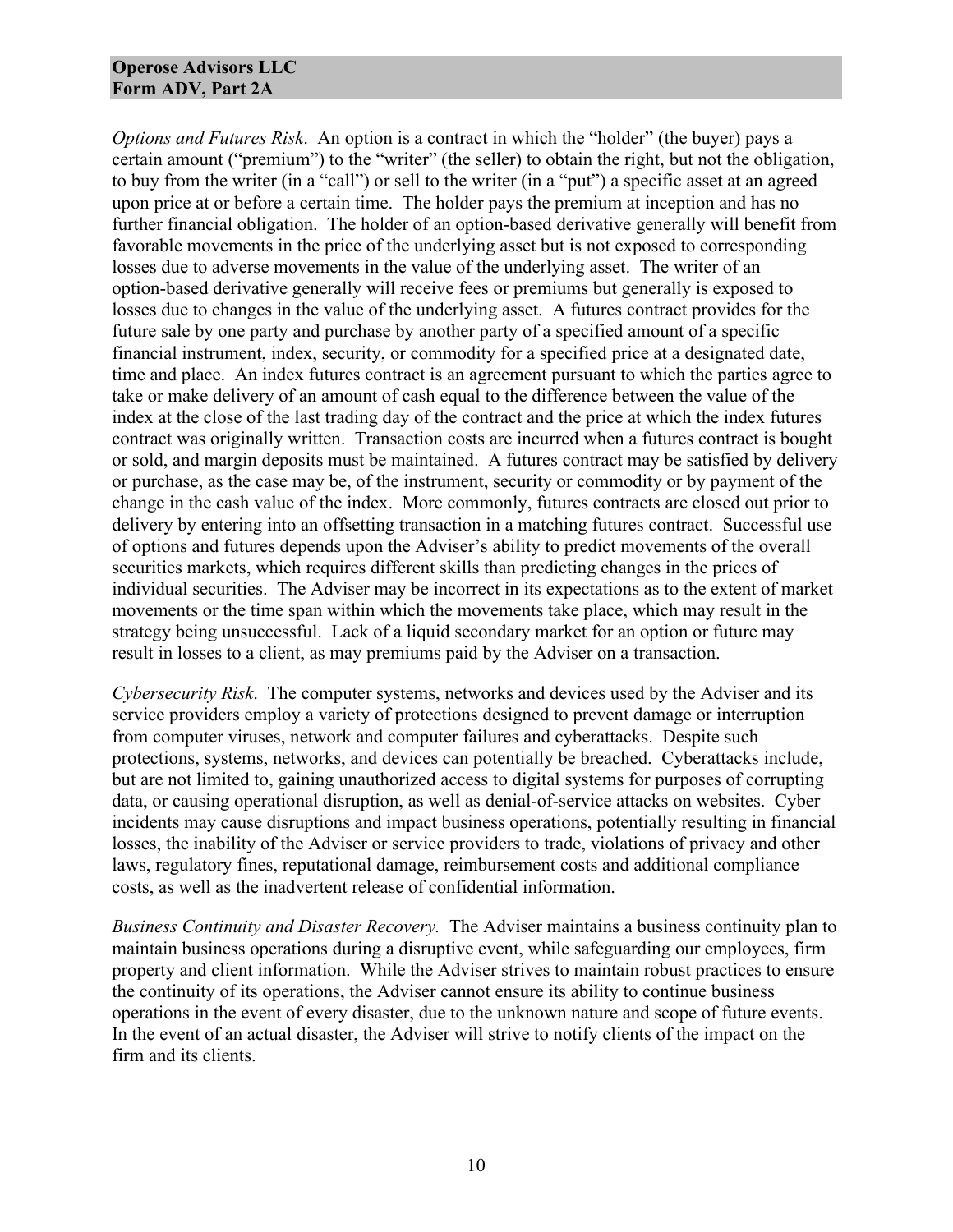*Options and Futures Risk*. An option is a contract in which the "holder" (the buyer) pays a certain amount ("premium") to the "writer" (the seller) to obtain the right, but not the obligation, to buy from the writer (in a "call") or sell to the writer (in a "put") a specific asset at an agreed upon price at or before a certain time. The holder pays the premium at inception and has no further financial obligation. The holder of an option-based derivative generally will benefit from favorable movements in the price of the underlying asset but is not exposed to corresponding losses due to adverse movements in the value of the underlying asset. The writer of an option-based derivative generally will receive fees or premiums but generally is exposed to losses due to changes in the value of the underlying asset. A futures contract provides for the future sale by one party and purchase by another party of a specified amount of a specific financial instrument, index, security, or commodity for a specified price at a designated date, time and place. An index futures contract is an agreement pursuant to which the parties agree to take or make delivery of an amount of cash equal to the difference between the value of the index at the close of the last trading day of the contract and the price at which the index futures contract was originally written. Transaction costs are incurred when a futures contract is bought or sold, and margin deposits must be maintained. A futures contract may be satisfied by delivery or purchase, as the case may be, of the instrument, security or commodity or by payment of the change in the cash value of the index. More commonly, futures contracts are closed out prior to delivery by entering into an offsetting transaction in a matching futures contract. Successful use of options and futures depends upon the Adviser's ability to predict movements of the overall securities markets, which requires different skills than predicting changes in the prices of individual securities. The Adviser may be incorrect in its expectations as to the extent of market movements or the time span within which the movements take place, which may result in the strategy being unsuccessful. Lack of a liquid secondary market for an option or future may result in losses to a client, as may premiums paid by the Adviser on a transaction.

*Cybersecurity Risk*. The computer systems, networks and devices used by the Adviser and its service providers employ a variety of protections designed to prevent damage or interruption from computer viruses, network and computer failures and cyberattacks. Despite such protections, systems, networks, and devices can potentially be breached. Cyberattacks include, but are not limited to, gaining unauthorized access to digital systems for purposes of corrupting data, or causing operational disruption, as well as denial-of-service attacks on websites. Cyber incidents may cause disruptions and impact business operations, potentially resulting in financial losses, the inability of the Adviser or service providers to trade, violations of privacy and other laws, regulatory fines, reputational damage, reimbursement costs and additional compliance costs, as well as the inadvertent release of confidential information.

*Business Continuity and Disaster Recovery.* The Adviser maintains a business continuity plan to maintain business operations during a disruptive event, while safeguarding our employees, firm property and client information. While the Adviser strives to maintain robust practices to ensure the continuity of its operations, the Adviser cannot ensure its ability to continue business operations in the event of every disaster, due to the unknown nature and scope of future events. In the event of an actual disaster, the Adviser will strive to notify clients of the impact on the firm and its clients.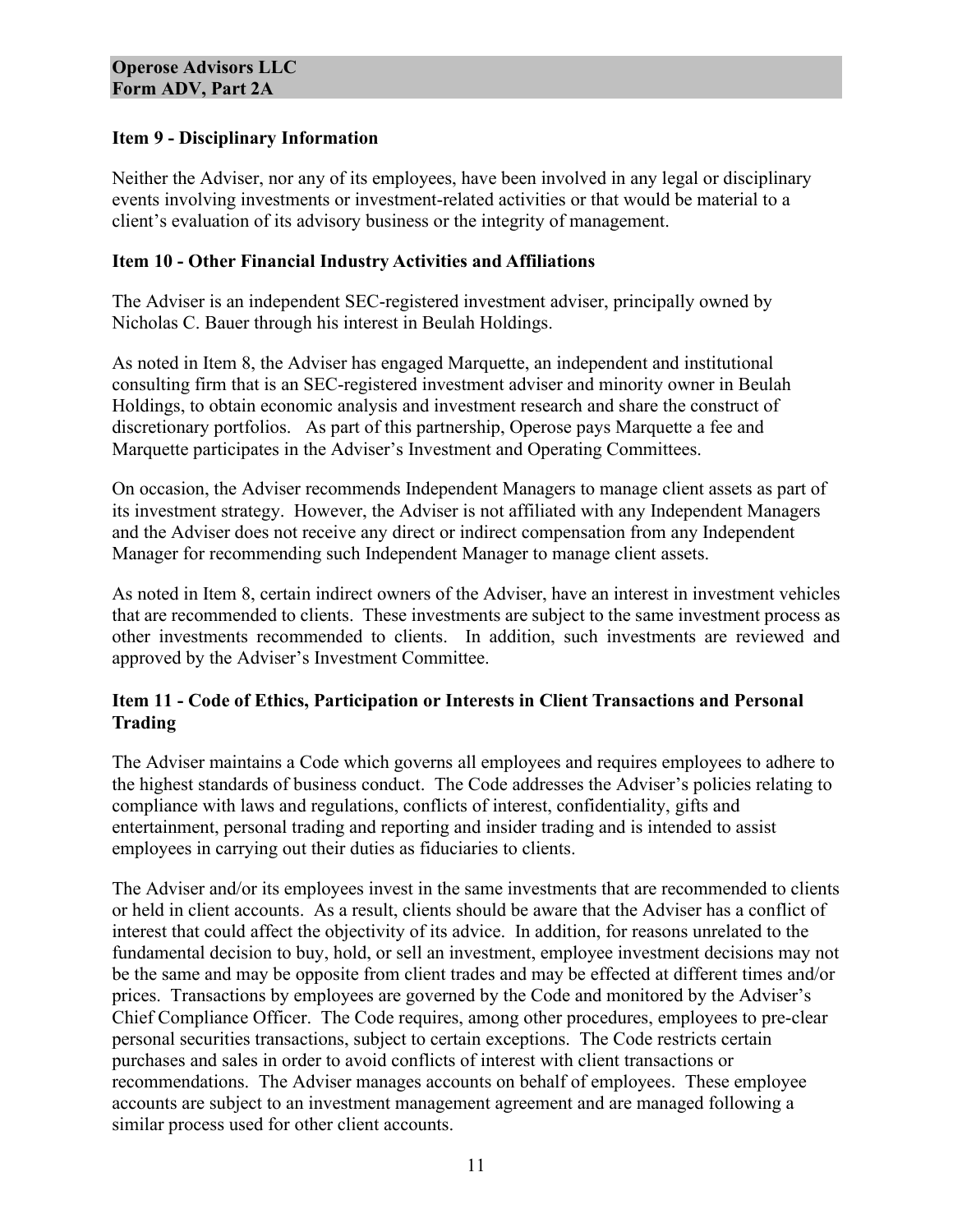## **Item 9 - Disciplinary Information**

Neither the Adviser, nor any of its employees, have been involved in any legal or disciplinary events involving investments or investment-related activities or that would be material to a client's evaluation of its advisory business or the integrity of management.

## **Item 10 - Other Financial Industry Activities and Affiliations**

The Adviser is an independent SEC-registered investment adviser, principally owned by Nicholas C. Bauer through his interest in Beulah Holdings.

As noted in Item 8, the Adviser has engaged Marquette, an independent and institutional consulting firm that is an SEC-registered investment adviser and minority owner in Beulah Holdings, to obtain economic analysis and investment research and share the construct of discretionary portfolios. As part of this partnership, Operose pays Marquette a fee and Marquette participates in the Adviser's Investment and Operating Committees.

On occasion, the Adviser recommends Independent Managers to manage client assets as part of its investment strategy. However, the Adviser is not affiliated with any Independent Managers and the Adviser does not receive any direct or indirect compensation from any Independent Manager for recommending such Independent Manager to manage client assets.

As noted in Item 8, certain indirect owners of the Adviser, have an interest in investment vehicles that are recommended to clients. These investments are subject to the same investment process as other investments recommended to clients. In addition, such investments are reviewed and approved by the Adviser's Investment Committee.

## **Item 11 - Code of Ethics, Participation or Interests in Client Transactions and Personal Trading**

The Adviser maintains a Code which governs all employees and requires employees to adhere to the highest standards of business conduct. The Code addresses the Adviser's policies relating to compliance with laws and regulations, conflicts of interest, confidentiality, gifts and entertainment, personal trading and reporting and insider trading and is intended to assist employees in carrying out their duties as fiduciaries to clients.

The Adviser and/or its employees invest in the same investments that are recommended to clients or held in client accounts. As a result, clients should be aware that the Adviser has a conflict of interest that could affect the objectivity of its advice. In addition, for reasons unrelated to the fundamental decision to buy, hold, or sell an investment, employee investment decisions may not be the same and may be opposite from client trades and may be effected at different times and/or prices. Transactions by employees are governed by the Code and monitored by the Adviser's Chief Compliance Officer. The Code requires, among other procedures, employees to pre-clear personal securities transactions, subject to certain exceptions. The Code restricts certain purchases and sales in order to avoid conflicts of interest with client transactions or recommendations. The Adviser manages accounts on behalf of employees. These employee accounts are subject to an investment management agreement and are managed following a similar process used for other client accounts.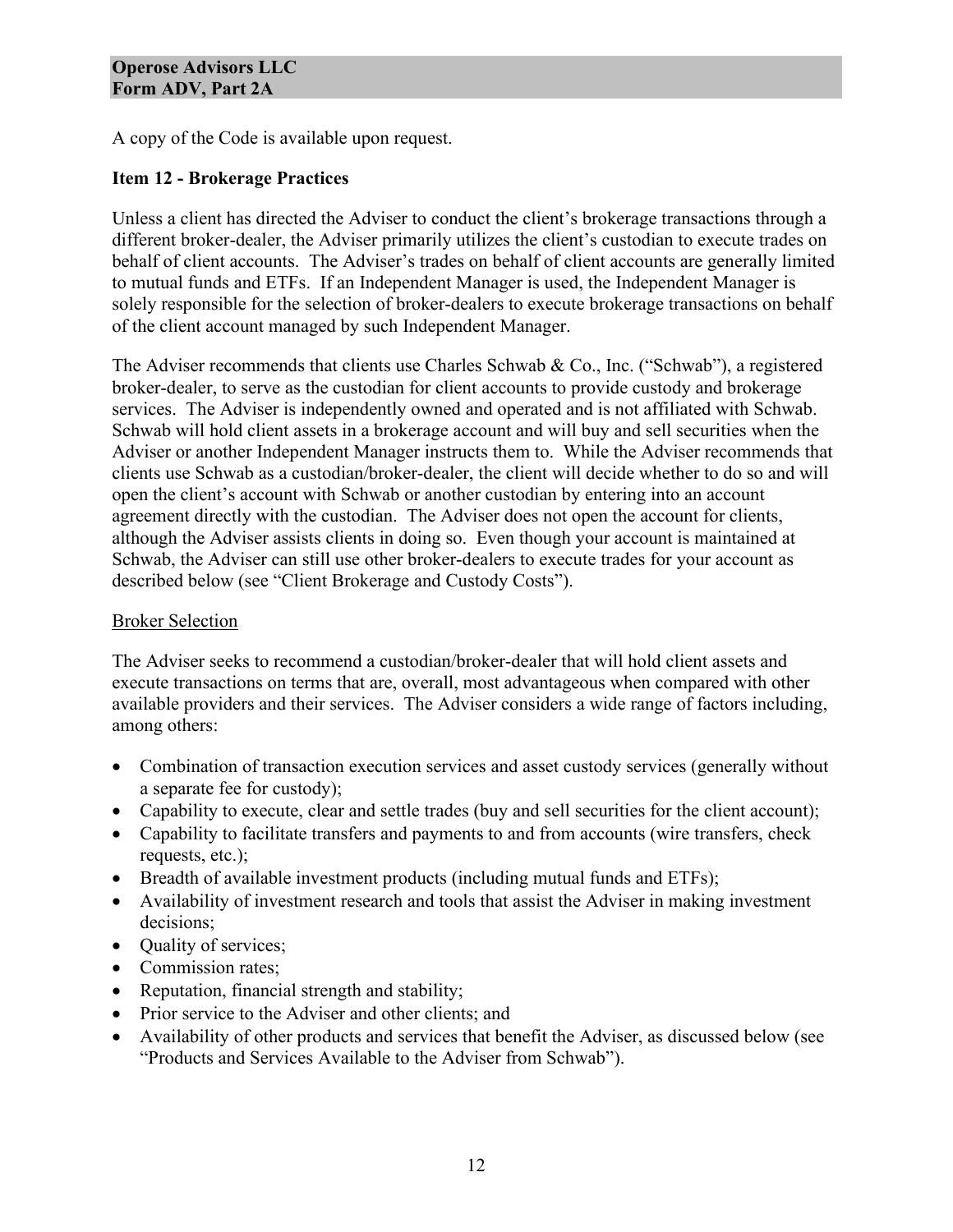A copy of the Code is available upon request.

## **Item 12 - Brokerage Practices**

Unless a client has directed the Adviser to conduct the client's brokerage transactions through a different broker-dealer, the Adviser primarily utilizes the client's custodian to execute trades on behalf of client accounts. The Adviser's trades on behalf of client accounts are generally limited to mutual funds and ETFs. If an Independent Manager is used, the Independent Manager is solely responsible for the selection of broker-dealers to execute brokerage transactions on behalf of the client account managed by such Independent Manager.

The Adviser recommends that clients use Charles Schwab & Co., Inc. ("Schwab"), a registered broker-dealer, to serve as the custodian for client accounts to provide custody and brokerage services. The Adviser is independently owned and operated and is not affiliated with Schwab. Schwab will hold client assets in a brokerage account and will buy and sell securities when the Adviser or another Independent Manager instructs them to. While the Adviser recommends that clients use Schwab as a custodian/broker-dealer, the client will decide whether to do so and will open the client's account with Schwab or another custodian by entering into an account agreement directly with the custodian. The Adviser does not open the account for clients, although the Adviser assists clients in doing so. Even though your account is maintained at Schwab, the Adviser can still use other broker-dealers to execute trades for your account as described below (see "Client Brokerage and Custody Costs").

## Broker Selection

The Adviser seeks to recommend a custodian/broker-dealer that will hold client assets and execute transactions on terms that are, overall, most advantageous when compared with other available providers and their services. The Adviser considers a wide range of factors including, among others:

- Combination of transaction execution services and asset custody services (generally without a separate fee for custody);
- Capability to execute, clear and settle trades (buy and sell securities for the client account);
- Capability to facilitate transfers and payments to and from accounts (wire transfers, check requests, etc.);
- Breadth of available investment products (including mutual funds and ETFs);
- Availability of investment research and tools that assist the Adviser in making investment decisions;
- Ouality of services;
- Commission rates;
- Reputation, financial strength and stability;
- Prior service to the Adviser and other clients; and
- Availability of other products and services that benefit the Adviser, as discussed below (see "Products and Services Available to the Adviser from Schwab").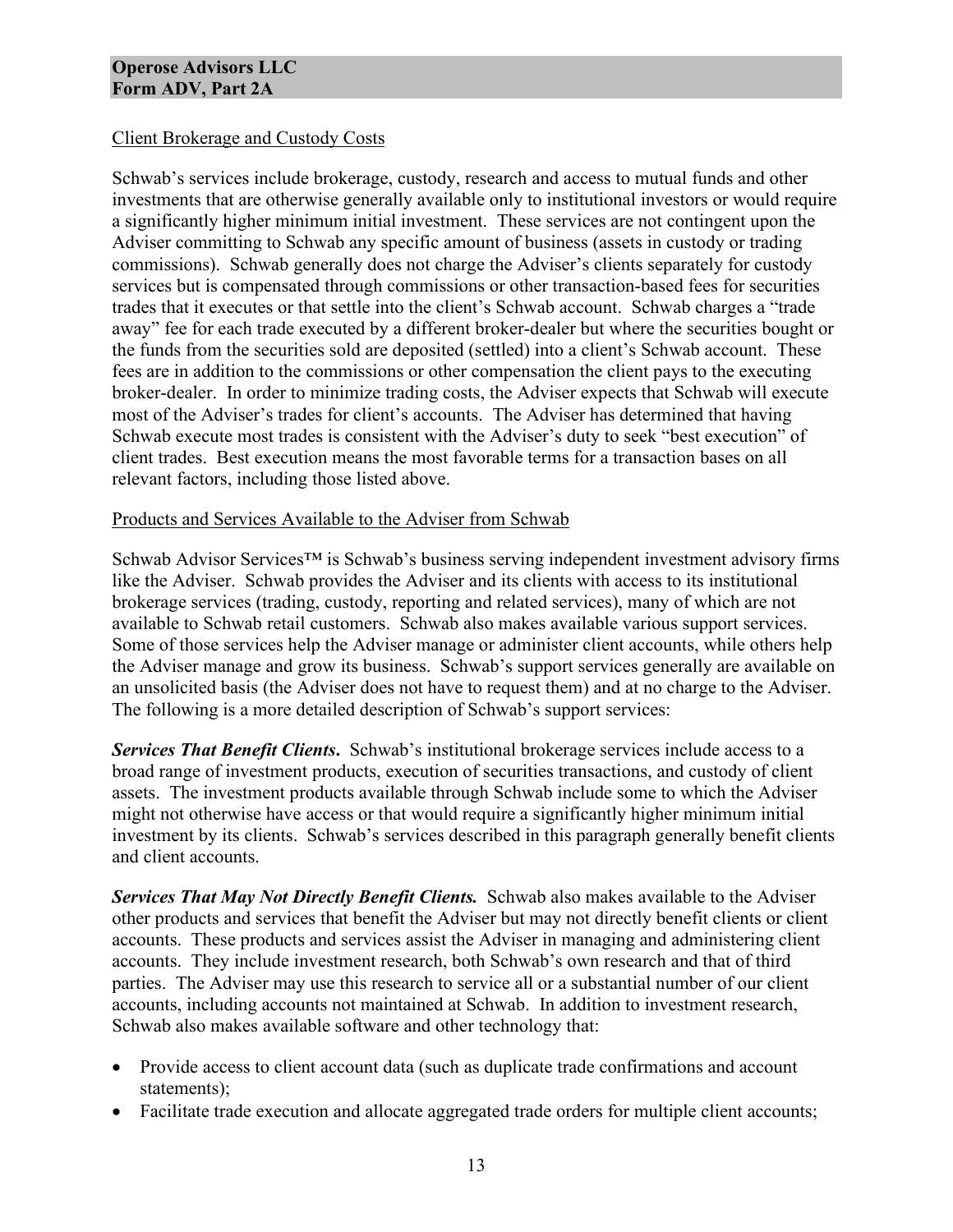## Client Brokerage and Custody Costs

Schwab's services include brokerage, custody, research and access to mutual funds and other investments that are otherwise generally available only to institutional investors or would require a significantly higher minimum initial investment. These services are not contingent upon the Adviser committing to Schwab any specific amount of business (assets in custody or trading commissions). Schwab generally does not charge the Adviser's clients separately for custody services but is compensated through commissions or other transaction-based fees for securities trades that it executes or that settle into the client's Schwab account. Schwab charges a "trade away" fee for each trade executed by a different broker-dealer but where the securities bought or the funds from the securities sold are deposited (settled) into a client's Schwab account. These fees are in addition to the commissions or other compensation the client pays to the executing broker-dealer. In order to minimize trading costs, the Adviser expects that Schwab will execute most of the Adviser's trades for client's accounts. The Adviser has determined that having Schwab execute most trades is consistent with the Adviser's duty to seek "best execution" of client trades. Best execution means the most favorable terms for a transaction bases on all relevant factors, including those listed above.

#### Products and Services Available to the Adviser from Schwab

Schwab Advisor Services™ is Schwab's business serving independent investment advisory firms like the Adviser. Schwab provides the Adviser and its clients with access to its institutional brokerage services (trading, custody, reporting and related services), many of which are not available to Schwab retail customers. Schwab also makes available various support services. Some of those services help the Adviser manage or administer client accounts, while others help the Adviser manage and grow its business. Schwab's support services generally are available on an unsolicited basis (the Adviser does not have to request them) and at no charge to the Adviser. The following is a more detailed description of Schwab's support services:

*Services That Benefit Clients***.** Schwab's institutional brokerage services include access to a broad range of investment products, execution of securities transactions, and custody of client assets. The investment products available through Schwab include some to which the Adviser might not otherwise have access or that would require a significantly higher minimum initial investment by its clients. Schwab's services described in this paragraph generally benefit clients and client accounts.

**Services That May Not Directly Benefit Clients.** Schwab also makes available to the Adviser other products and services that benefit the Adviser but may not directly benefit clients or client accounts. These products and services assist the Adviser in managing and administering client accounts. They include investment research, both Schwab's own research and that of third parties. The Adviser may use this research to service all or a substantial number of our client accounts, including accounts not maintained at Schwab. In addition to investment research, Schwab also makes available software and other technology that:

- Provide access to client account data (such as duplicate trade confirmations and account statements);
- Facilitate trade execution and allocate aggregated trade orders for multiple client accounts;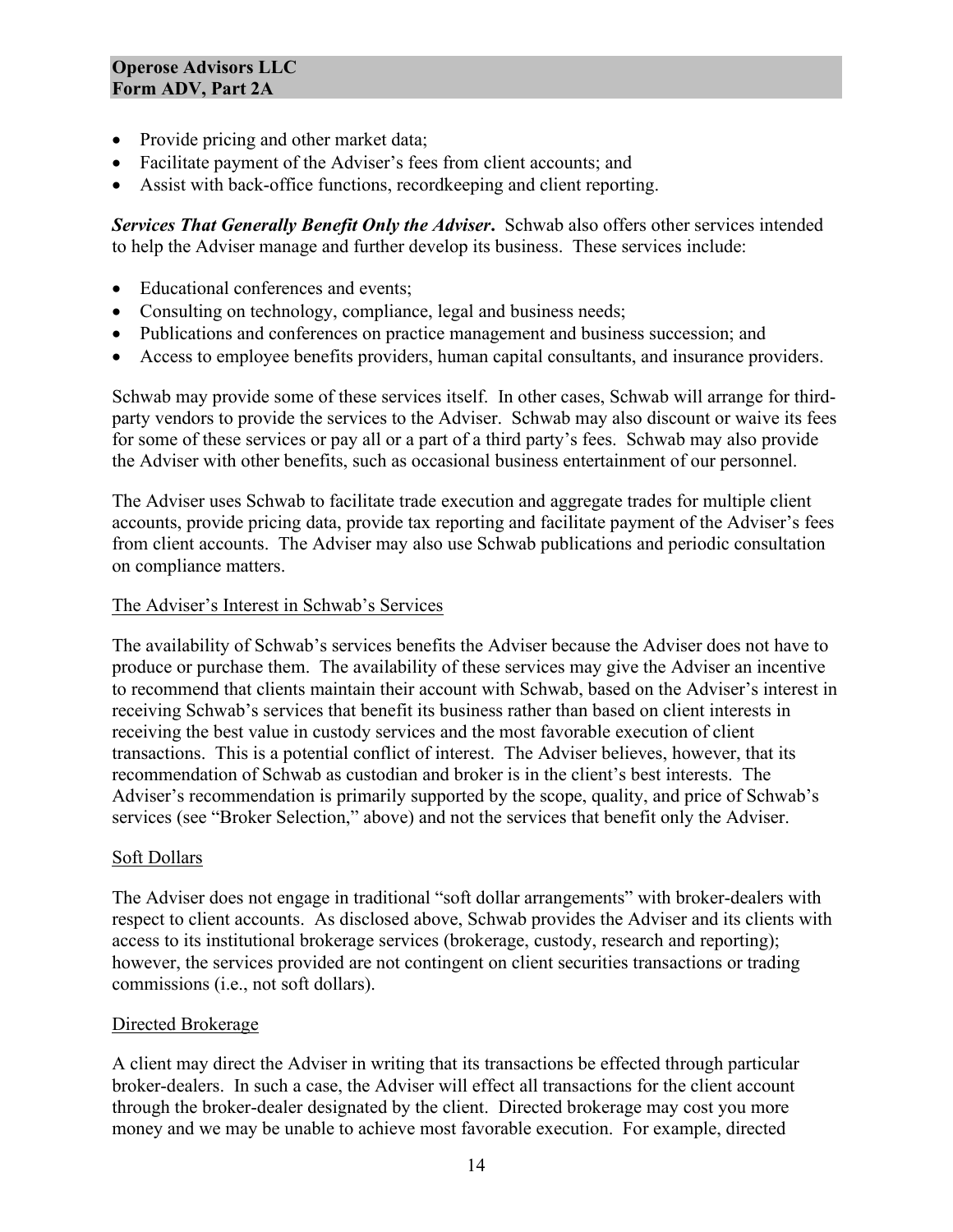- Provide pricing and other market data;
- Facilitate payment of the Adviser's fees from client accounts; and
- Assist with back-office functions, recordkeeping and client reporting.

*Services That Generally Benefit Only the Adviser***.** Schwab also offers other services intended to help the Adviser manage and further develop its business. These services include:

- Educational conferences and events;
- Consulting on technology, compliance, legal and business needs;
- Publications and conferences on practice management and business succession; and
- Access to employee benefits providers, human capital consultants, and insurance providers.

Schwab may provide some of these services itself. In other cases, Schwab will arrange for thirdparty vendors to provide the services to the Adviser. Schwab may also discount or waive its fees for some of these services or pay all or a part of a third party's fees. Schwab may also provide the Adviser with other benefits, such as occasional business entertainment of our personnel.

The Adviser uses Schwab to facilitate trade execution and aggregate trades for multiple client accounts, provide pricing data, provide tax reporting and facilitate payment of the Adviser's fees from client accounts. The Adviser may also use Schwab publications and periodic consultation on compliance matters.

## The Adviser's Interest in Schwab's Services

The availability of Schwab's services benefits the Adviser because the Adviser does not have to produce or purchase them. The availability of these services may give the Adviser an incentive to recommend that clients maintain their account with Schwab, based on the Adviser's interest in receiving Schwab's services that benefit its business rather than based on client interests in receiving the best value in custody services and the most favorable execution of client transactions. This is a potential conflict of interest. The Adviser believes, however, that its recommendation of Schwab as custodian and broker is in the client's best interests. The Adviser's recommendation is primarily supported by the scope, quality, and price of Schwab's services (see "Broker Selection," above) and not the services that benefit only the Adviser.

## Soft Dollars

The Adviser does not engage in traditional "soft dollar arrangements" with broker-dealers with respect to client accounts. As disclosed above, Schwab provides the Adviser and its clients with access to its institutional brokerage services (brokerage, custody, research and reporting); however, the services provided are not contingent on client securities transactions or trading commissions (i.e., not soft dollars).

## Directed Brokerage

A client may direct the Adviser in writing that its transactions be effected through particular broker-dealers. In such a case, the Adviser will effect all transactions for the client account through the broker-dealer designated by the client. Directed brokerage may cost you more money and we may be unable to achieve most favorable execution. For example, directed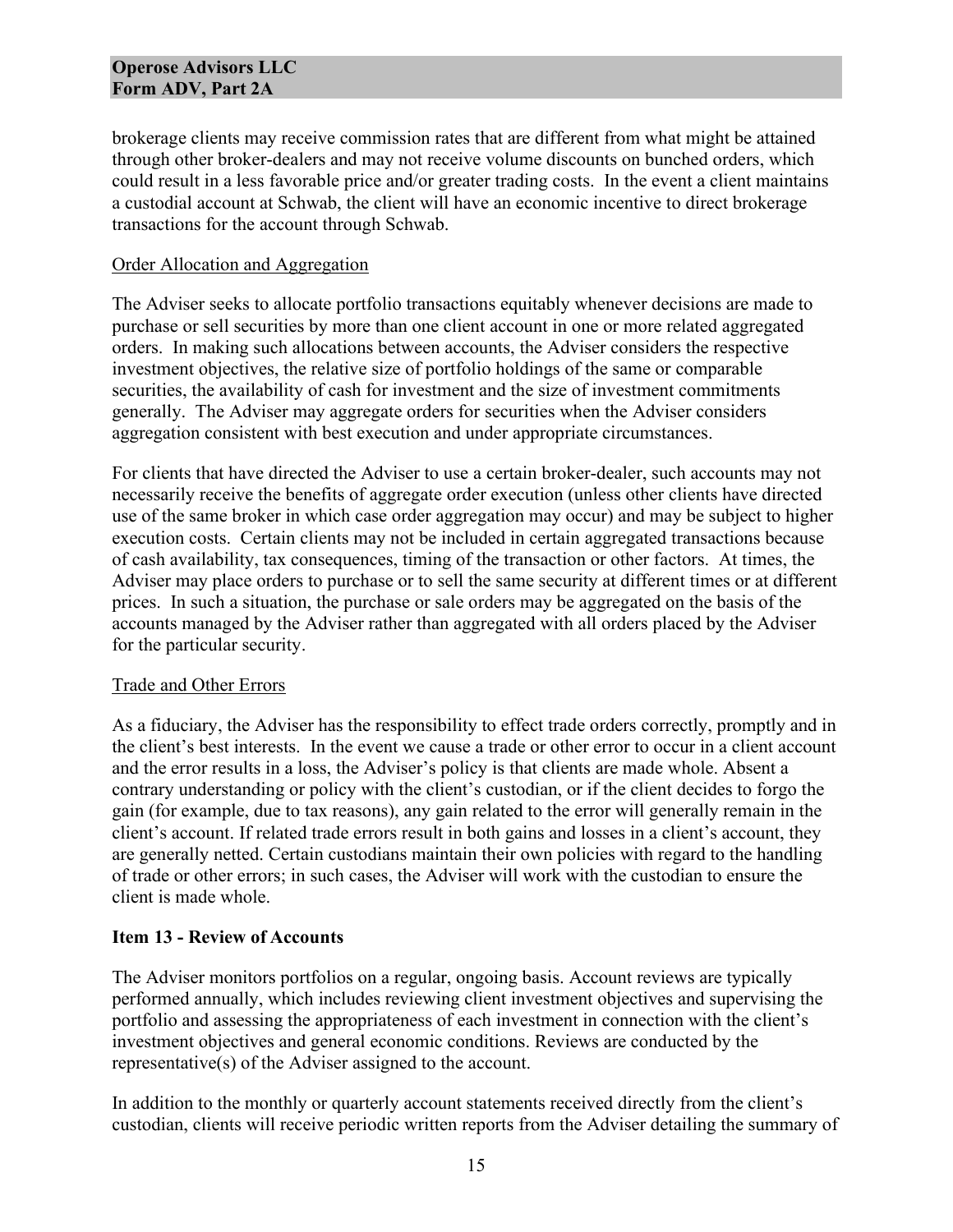brokerage clients may receive commission rates that are different from what might be attained through other broker-dealers and may not receive volume discounts on bunched orders, which could result in a less favorable price and/or greater trading costs. In the event a client maintains a custodial account at Schwab, the client will have an economic incentive to direct brokerage transactions for the account through Schwab.

#### Order Allocation and Aggregation

The Adviser seeks to allocate portfolio transactions equitably whenever decisions are made to purchase or sell securities by more than one client account in one or more related aggregated orders. In making such allocations between accounts, the Adviser considers the respective investment objectives, the relative size of portfolio holdings of the same or comparable securities, the availability of cash for investment and the size of investment commitments generally. The Adviser may aggregate orders for securities when the Adviser considers aggregation consistent with best execution and under appropriate circumstances.

For clients that have directed the Adviser to use a certain broker-dealer, such accounts may not necessarily receive the benefits of aggregate order execution (unless other clients have directed use of the same broker in which case order aggregation may occur) and may be subject to higher execution costs. Certain clients may not be included in certain aggregated transactions because of cash availability, tax consequences, timing of the transaction or other factors. At times, the Adviser may place orders to purchase or to sell the same security at different times or at different prices. In such a situation, the purchase or sale orders may be aggregated on the basis of the accounts managed by the Adviser rather than aggregated with all orders placed by the Adviser for the particular security.

## Trade and Other Errors

As a fiduciary, the Adviser has the responsibility to effect trade orders correctly, promptly and in the client's best interests. In the event we cause a trade or other error to occur in a client account and the error results in a loss, the Adviser's policy is that clients are made whole. Absent a contrary understanding or policy with the client's custodian, or if the client decides to forgo the gain (for example, due to tax reasons), any gain related to the error will generally remain in the client's account. If related trade errors result in both gains and losses in a client's account, they are generally netted. Certain custodians maintain their own policies with regard to the handling of trade or other errors; in such cases, the Adviser will work with the custodian to ensure the client is made whole.

## **Item 13 - Review of Accounts**

The Adviser monitors portfolios on a regular, ongoing basis. Account reviews are typically performed annually, which includes reviewing client investment objectives and supervising the portfolio and assessing the appropriateness of each investment in connection with the client's investment objectives and general economic conditions. Reviews are conducted by the representative(s) of the Adviser assigned to the account.

In addition to the monthly or quarterly account statements received directly from the client's custodian, clients will receive periodic written reports from the Adviser detailing the summary of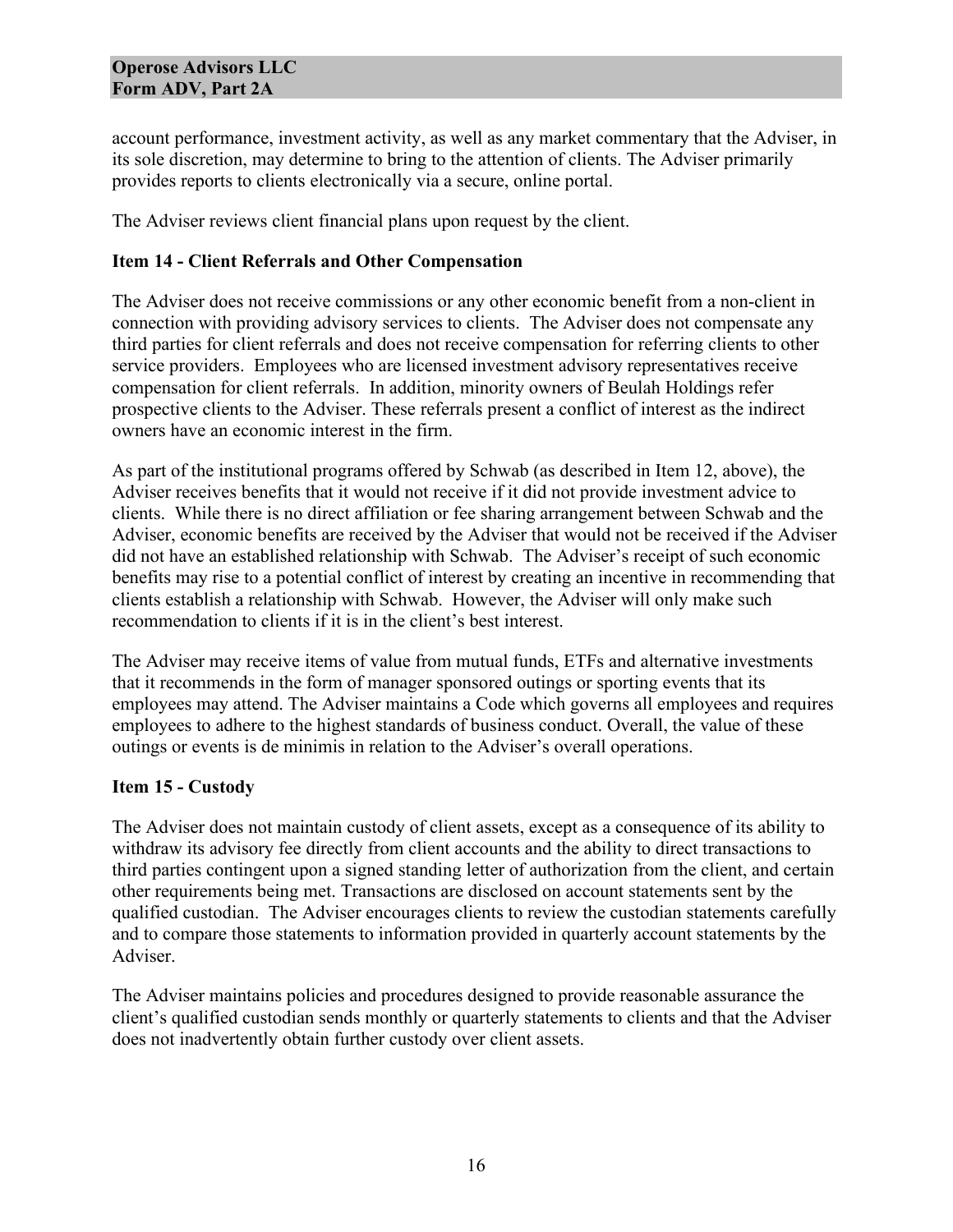account performance, investment activity, as well as any market commentary that the Adviser, in its sole discretion, may determine to bring to the attention of clients. The Adviser primarily provides reports to clients electronically via a secure, online portal.

The Adviser reviews client financial plans upon request by the client.

## **Item 14 - Client Referrals and Other Compensation**

The Adviser does not receive commissions or any other economic benefit from a non-client in connection with providing advisory services to clients. The Adviser does not compensate any third parties for client referrals and does not receive compensation for referring clients to other service providers. Employees who are licensed investment advisory representatives receive compensation for client referrals. In addition, minority owners of Beulah Holdings refer prospective clients to the Adviser. These referrals present a conflict of interest as the indirect owners have an economic interest in the firm.

As part of the institutional programs offered by Schwab (as described in Item 12, above), the Adviser receives benefits that it would not receive if it did not provide investment advice to clients. While there is no direct affiliation or fee sharing arrangement between Schwab and the Adviser, economic benefits are received by the Adviser that would not be received if the Adviser did not have an established relationship with Schwab. The Adviser's receipt of such economic benefits may rise to a potential conflict of interest by creating an incentive in recommending that clients establish a relationship with Schwab. However, the Adviser will only make such recommendation to clients if it is in the client's best interest.

The Adviser may receive items of value from mutual funds, ETFs and alternative investments that it recommends in the form of manager sponsored outings or sporting events that its employees may attend. The Adviser maintains a Code which governs all employees and requires employees to adhere to the highest standards of business conduct. Overall, the value of these outings or events is de minimis in relation to the Adviser's overall operations.

## **Item 15 - Custody**

The Adviser does not maintain custody of client assets, except as a consequence of its ability to withdraw its advisory fee directly from client accounts and the ability to direct transactions to third parties contingent upon a signed standing letter of authorization from the client, and certain other requirements being met. Transactions are disclosed on account statements sent by the qualified custodian. The Adviser encourages clients to review the custodian statements carefully and to compare those statements to information provided in quarterly account statements by the Adviser.

The Adviser maintains policies and procedures designed to provide reasonable assurance the client's qualified custodian sends monthly or quarterly statements to clients and that the Adviser does not inadvertently obtain further custody over client assets.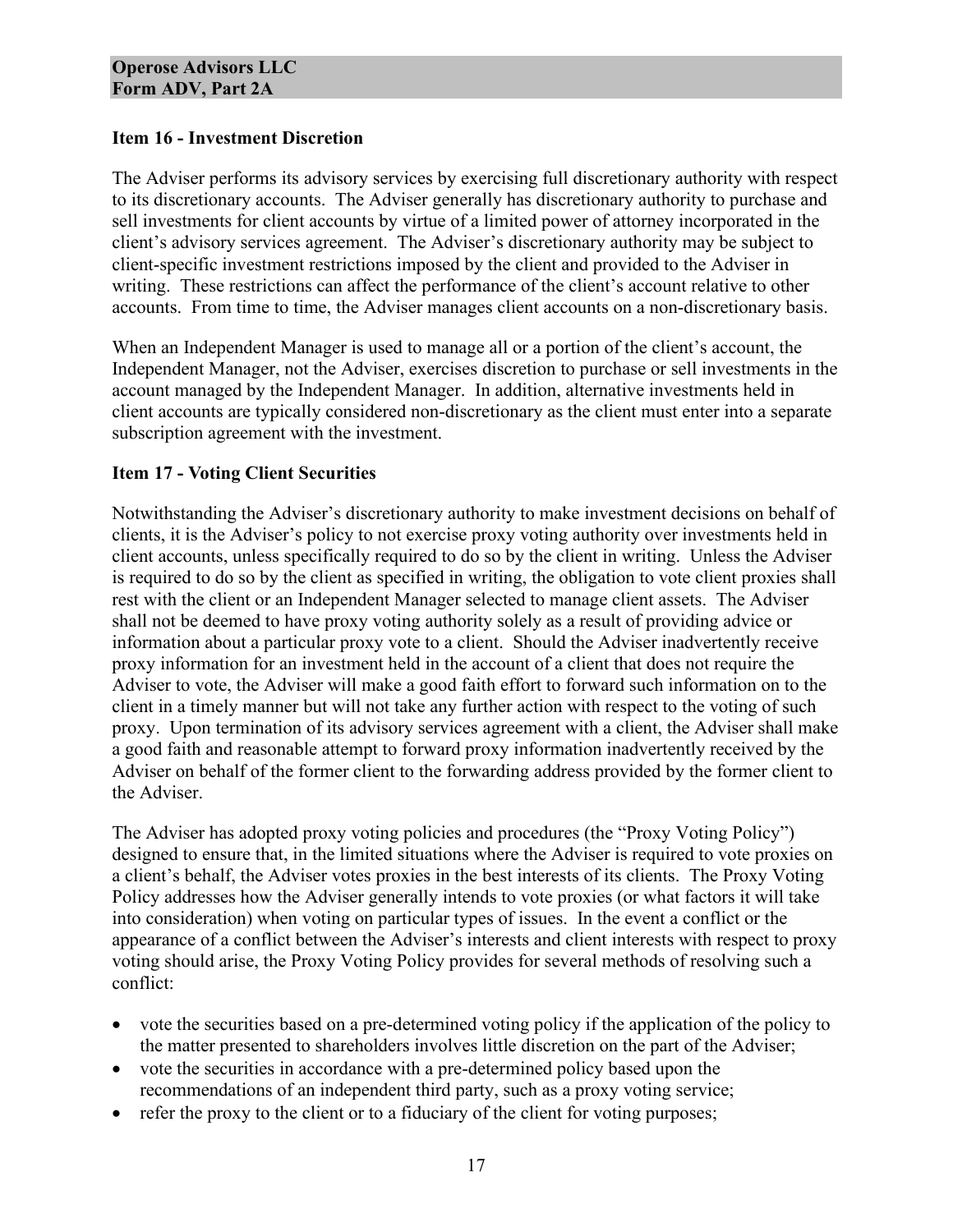## **Item 16 - Investment Discretion**

The Adviser performs its advisory services by exercising full discretionary authority with respect to its discretionary accounts. The Adviser generally has discretionary authority to purchase and sell investments for client accounts by virtue of a limited power of attorney incorporated in the client's advisory services agreement. The Adviser's discretionary authority may be subject to client-specific investment restrictions imposed by the client and provided to the Adviser in writing. These restrictions can affect the performance of the client's account relative to other accounts. From time to time, the Adviser manages client accounts on a non-discretionary basis.

When an Independent Manager is used to manage all or a portion of the client's account, the Independent Manager, not the Adviser, exercises discretion to purchase or sell investments in the account managed by the Independent Manager. In addition, alternative investments held in client accounts are typically considered non-discretionary as the client must enter into a separate subscription agreement with the investment.

## **Item 17 - Voting Client Securities**

Notwithstanding the Adviser's discretionary authority to make investment decisions on behalf of clients, it is the Adviser's policy to not exercise proxy voting authority over investments held in client accounts, unless specifically required to do so by the client in writing. Unless the Adviser is required to do so by the client as specified in writing, the obligation to vote client proxies shall rest with the client or an Independent Manager selected to manage client assets. The Adviser shall not be deemed to have proxy voting authority solely as a result of providing advice or information about a particular proxy vote to a client. Should the Adviser inadvertently receive proxy information for an investment held in the account of a client that does not require the Adviser to vote, the Adviser will make a good faith effort to forward such information on to the client in a timely manner but will not take any further action with respect to the voting of such proxy. Upon termination of its advisory services agreement with a client, the Adviser shall make a good faith and reasonable attempt to forward proxy information inadvertently received by the Adviser on behalf of the former client to the forwarding address provided by the former client to the Adviser.

The Adviser has adopted proxy voting policies and procedures (the "Proxy Voting Policy") designed to ensure that, in the limited situations where the Adviser is required to vote proxies on a client's behalf, the Adviser votes proxies in the best interests of its clients. The Proxy Voting Policy addresses how the Adviser generally intends to vote proxies (or what factors it will take into consideration) when voting on particular types of issues. In the event a conflict or the appearance of a conflict between the Adviser's interests and client interests with respect to proxy voting should arise, the Proxy Voting Policy provides for several methods of resolving such a conflict:

- vote the securities based on a pre-determined voting policy if the application of the policy to the matter presented to shareholders involves little discretion on the part of the Adviser;
- vote the securities in accordance with a pre-determined policy based upon the recommendations of an independent third party, such as a proxy voting service;
- refer the proxy to the client or to a fiduciary of the client for voting purposes;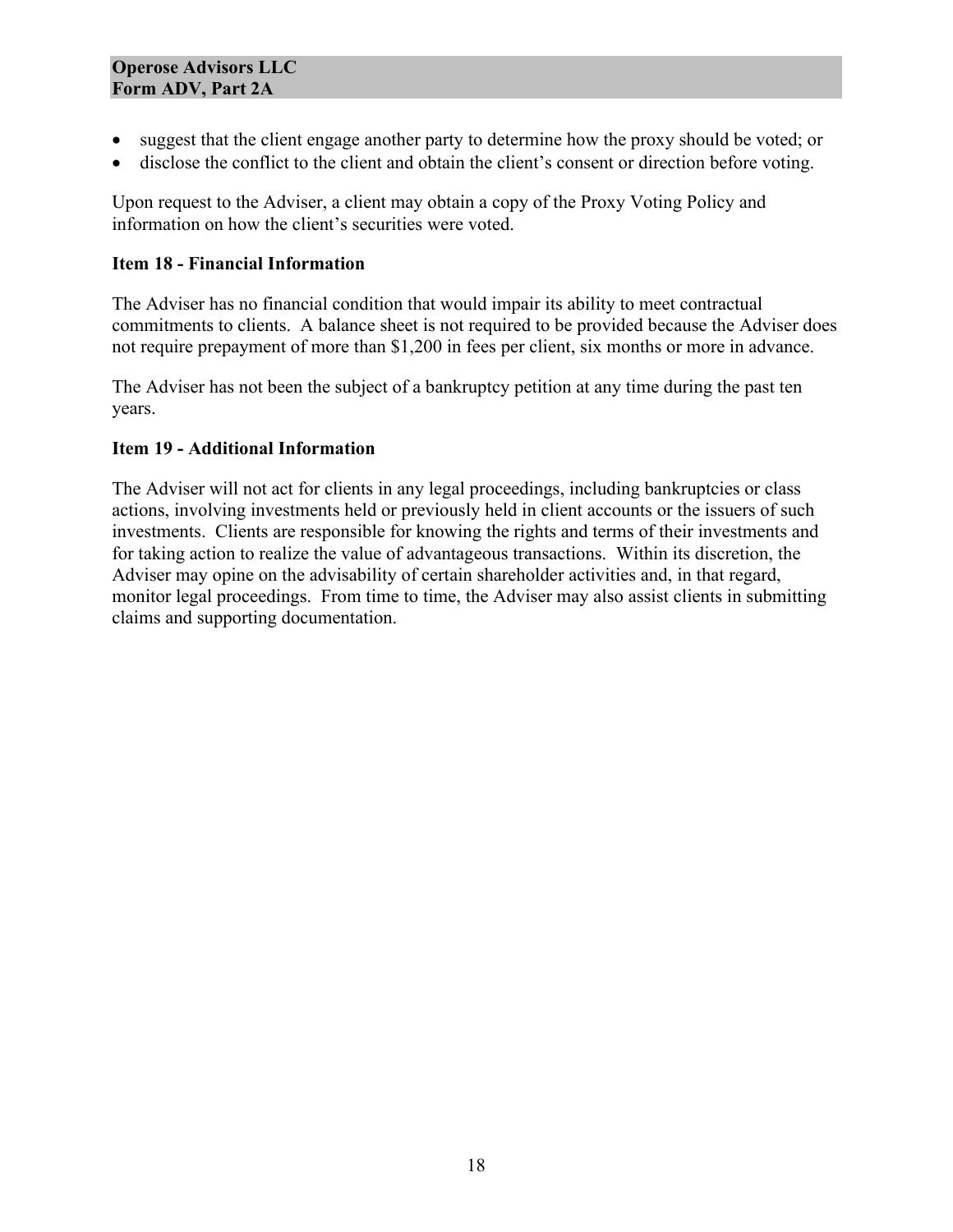- suggest that the client engage another party to determine how the proxy should be voted; or
- disclose the conflict to the client and obtain the client's consent or direction before voting.

Upon request to the Adviser, a client may obtain a copy of the Proxy Voting Policy and information on how the client's securities were voted.

## **Item 18 - Financial Information**

The Adviser has no financial condition that would impair its ability to meet contractual commitments to clients. A balance sheet is not required to be provided because the Adviser does not require prepayment of more than \$1,200 in fees per client, six months or more in advance.

The Adviser has not been the subject of a bankruptcy petition at any time during the past ten years.

## **Item 19 - Additional Information**

The Adviser will not act for clients in any legal proceedings, including bankruptcies or class actions, involving investments held or previously held in client accounts or the issuers of such investments. Clients are responsible for knowing the rights and terms of their investments and for taking action to realize the value of advantageous transactions. Within its discretion, the Adviser may opine on the advisability of certain shareholder activities and, in that regard, monitor legal proceedings. From time to time, the Adviser may also assist clients in submitting claims and supporting documentation.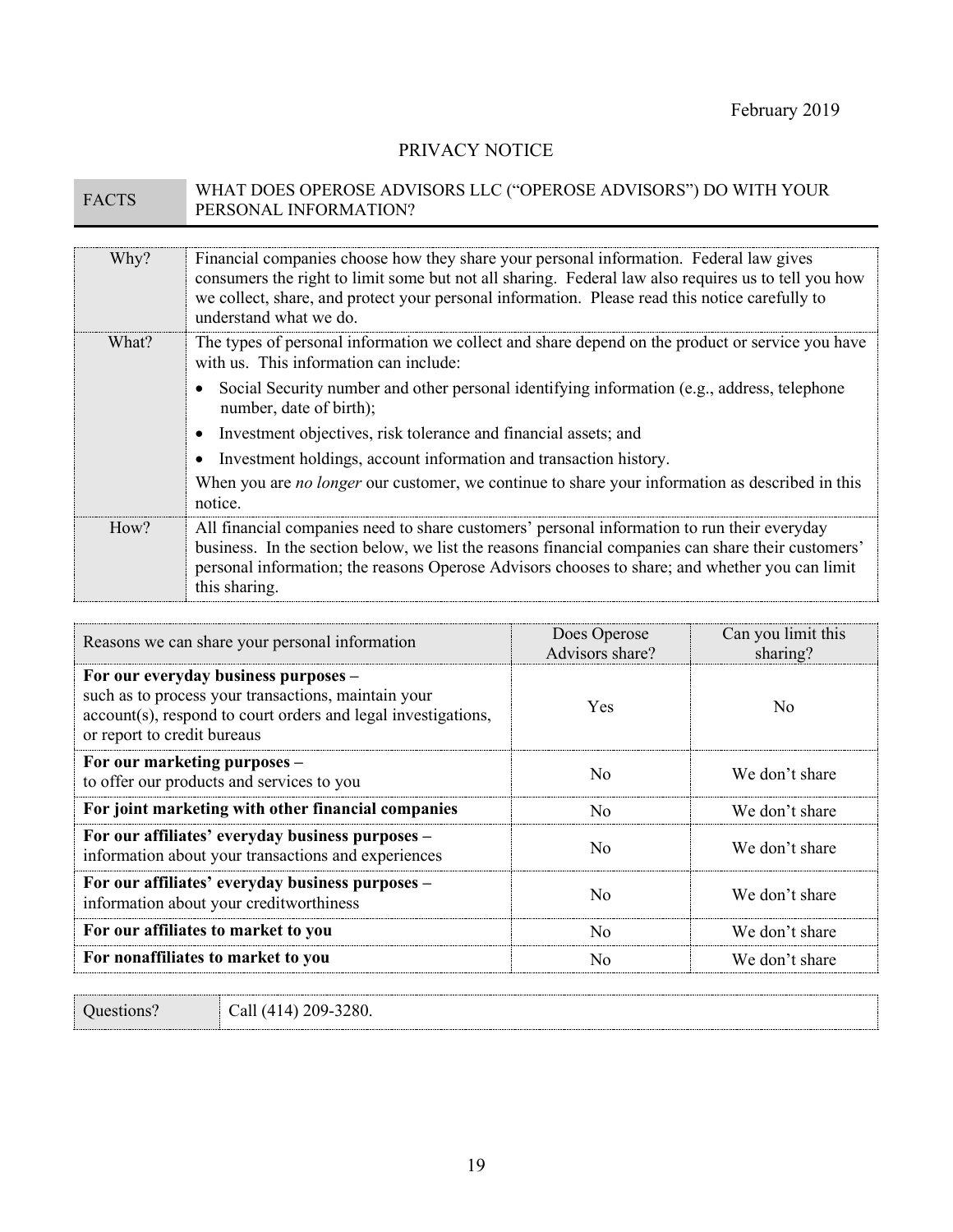## PRIVACY NOTICE

# FACTS WHAT DOES OPEROSE ADVISORS LLC ("OPEROSE ADVISORS") DO WITH YOUR PERSONAL INFORMATION?

| Why?  | Financial companies choose how they share your personal information. Federal law gives<br>consumers the right to limit some but not all sharing. Federal law also requires us to tell you how<br>we collect, share, and protect your personal information. Please read this notice carefully to<br>understand what we do. |
|-------|---------------------------------------------------------------------------------------------------------------------------------------------------------------------------------------------------------------------------------------------------------------------------------------------------------------------------|
| What? | The types of personal information we collect and share depend on the product or service you have<br>with us. This information can include:                                                                                                                                                                                |
|       | Social Security number and other personal identifying information (e.g., address, telephone<br>number, date of birth);                                                                                                                                                                                                    |
|       | Investment objectives, risk tolerance and financial assets; and                                                                                                                                                                                                                                                           |
|       | Investment holdings, account information and transaction history.                                                                                                                                                                                                                                                         |
|       | When you are no longer our customer, we continue to share your information as described in this<br>notice.                                                                                                                                                                                                                |
| How?  | All financial companies need to share customers' personal information to run their everyday<br>business. In the section below, we list the reasons financial companies can share their customers'<br>personal information; the reasons Operose Advisors chooses to share; and whether you can limit<br>this sharing.      |

| Reasons we can share your personal information                                                                                                                                              | Does Operose<br>Advisors share? | Can you limit this<br>sharing? |
|---------------------------------------------------------------------------------------------------------------------------------------------------------------------------------------------|---------------------------------|--------------------------------|
| For our everyday business purposes –<br>such as to process your transactions, maintain your<br>account(s), respond to court orders and legal investigations,<br>or report to credit bureaus | <b>Yes</b>                      | No                             |
| For our marketing purposes -<br>to offer our products and services to you                                                                                                                   | No                              | We don't share                 |
| For joint marketing with other financial companies                                                                                                                                          | No                              | We don't share                 |
| For our affiliates' everyday business purposes -<br>information about your transactions and experiences                                                                                     | $N_{\Omega}$                    | We don't share                 |
| For our affiliates' everyday business purposes -<br>information about your creditworthiness                                                                                                 | Nο                              | We don't share                 |
| For our affiliates to market to you                                                                                                                                                         | No                              | We don't share                 |
| For nonaffiliates to market to you                                                                                                                                                          | No                              | We don't share                 |

Questions? Call (414) 209-3280.